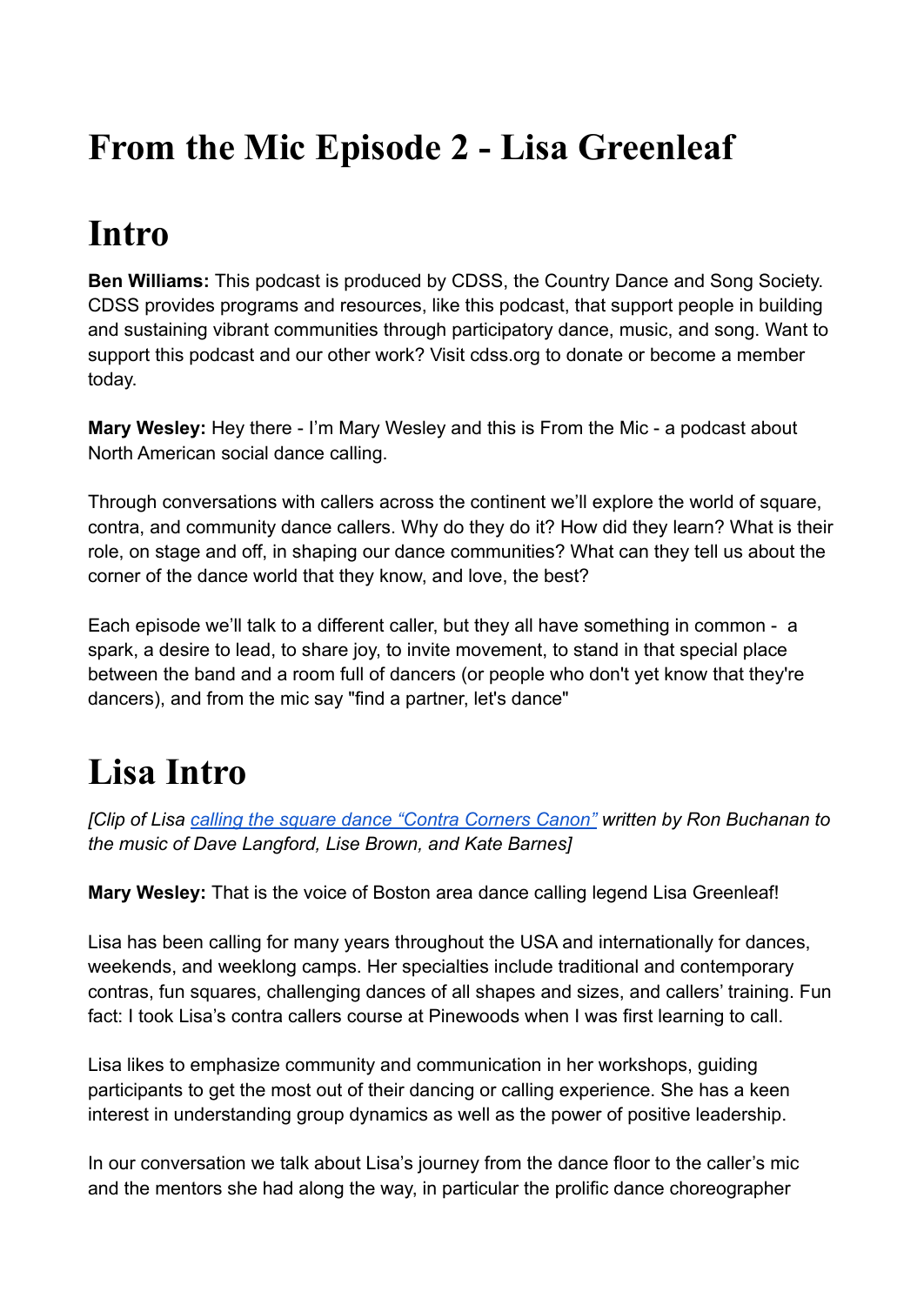# **From the Mic Episode 2 - Lisa Greenleaf**

### **Intro**

**Ben Williams:** This podcast is produced by CDSS, the Country Dance and Song Society. CDSS provides programs and resources, like this podcast, that support people in building and sustaining vibrant communities through participatory dance, music, and song. Want to support this podcast and our other work? Visit cdss.org to donate or become a member today.

**Mary Wesley:** Hey there - I'm Mary Wesley and this is From the Mic - a podcast about North American social dance calling.

Through conversations with callers across the continent we'll explore the world of square, contra, and community dance callers. Why do they do it? How did they learn? What is their role, on stage and off, in shaping our dance communities? What can they tell us about the corner of the dance world that they know, and love, the best?

Each episode we'll talk to a different caller, but they all have something in common - a spark, a desire to lead, to share joy, to invite movement, to stand in that special place between the band and a room full of dancers (or people who don't yet know that they're dancers), and from the mic say "find a partner, let's dance"

# **Lisa Intro**

*[Clip of Lisa [calling the square dance "Contra Corners](https://www.youtube.com/watch?v=KR1lmNjrxzg) Canon" written by Ron Buchanan to the music of Dave Langford, Lise Brown, and Kate Barnes]*

**Mary Wesley:** That is the voice of Boston area dance calling legend Lisa Greenleaf!

Lisa has been calling for many years throughout the USA and internationally for dances, weekends, and weeklong camps. Her specialties include traditional and contemporary contras, fun squares, challenging dances of all shapes and sizes, and callers' training. Fun fact: I took Lisa's contra callers course at Pinewoods when I was first learning to call.

Lisa likes to emphasize community and communication in her workshops, guiding participants to get the most out of their dancing or calling experience. She has a keen interest in understanding group dynamics as well as the power of positive leadership.

In our conversation we talk about Lisa's journey from the dance floor to the caller's mic and the mentors she had along the way, in particular the prolific dance choreographer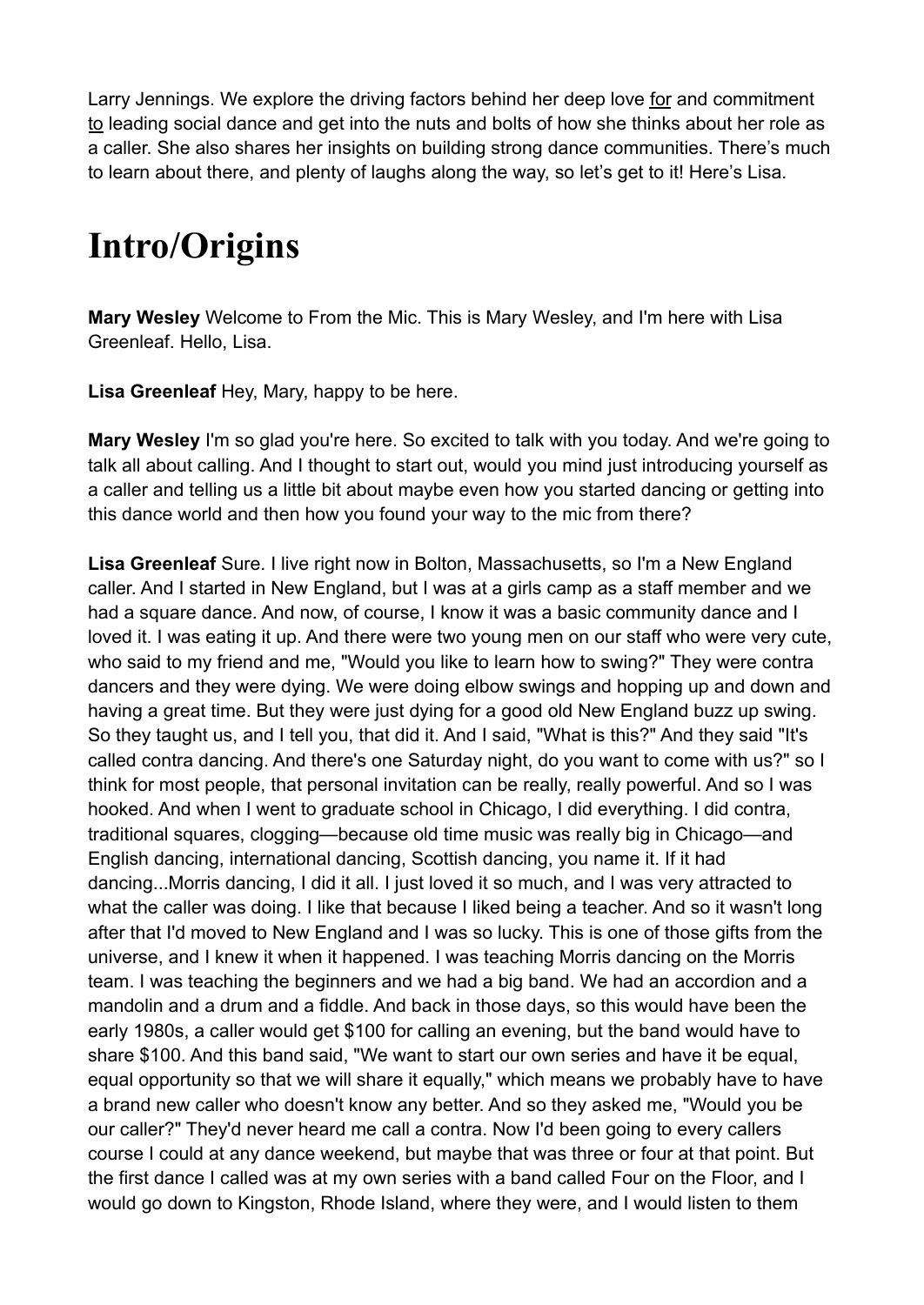Larry Jennings. We explore the driving factors behind her deep love for and commitment to leading social dance and get into the nuts and bolts of how she thinks about her role as a caller. She also shares her insights on building strong dance communities. There's much to learn about there, and plenty of laughs along the way, so let's get to it! Here's Lisa.

# **Intro/Origins**

**Mary Wesley** Welcome to From the Mic. This is Mary Wesley, and I'm here with Lisa Greenleaf. Hello, Lisa.

**Lisa Greenleaf** Hey, Mary, happy to be here.

**Mary Wesley** I'm so glad you're here. So excited to talk with you today. And we're going to talk all about calling. And I thought to start out, would you mind just introducing yourself as a caller and telling us a little bit about maybe even how you started dancing or getting into this dance world and then how you found your way to the mic from there?

**Lisa Greenleaf** Sure. I live right now in Bolton, Massachusetts, so I'm a New England caller. And I started in New England, but I was at a girls camp as a staff member and we had a square dance. And now, of course, I know it was a basic community dance and I loved it. I was eating it up. And there were two young men on our staff who were very cute, who said to my friend and me, "Would you like to learn how to swing?" They were contra dancers and they were dying. We were doing elbow swings and hopping up and down and having a great time. But they were just dying for a good old New England buzz up swing. So they taught us, and I tell you, that did it. And I said, "What is this?" And they said "It's called contra dancing. And there's one Saturday night, do you want to come with us?" so I think for most people, that personal invitation can be really, really powerful. And so I was hooked. And when I went to graduate school in Chicago, I did everything. I did contra, traditional squares, clogging—because old time music was really big in Chicago—and English dancing, international dancing, Scottish dancing, you name it. If it had dancing...Morris dancing, I did it all. I just loved it so much, and I was very attracted to what the caller was doing. I like that because I liked being a teacher. And so it wasn't long after that I'd moved to New England and I was so lucky. This is one of those gifts from the universe, and I knew it when it happened. I was teaching Morris dancing on the Morris team. I was teaching the beginners and we had a big band. We had an accordion and a mandolin and a drum and a fiddle. And back in those days, so this would have been the early 1980s, a caller would get \$100 for calling an evening, but the band would have to share \$100. And this band said, "We want to start our own series and have it be equal, equal opportunity so that we will share it equally," which means we probably have to have a brand new caller who doesn't know any better. And so they asked me, "Would you be our caller?" They'd never heard me call a contra. Now I'd been going to every callers course I could at any dance weekend, but maybe that was three or four at that point. But the first dance I called was at my own series with a band called Four on the Floor, and I would go down to Kingston, Rhode Island, where they were, and I would listen to them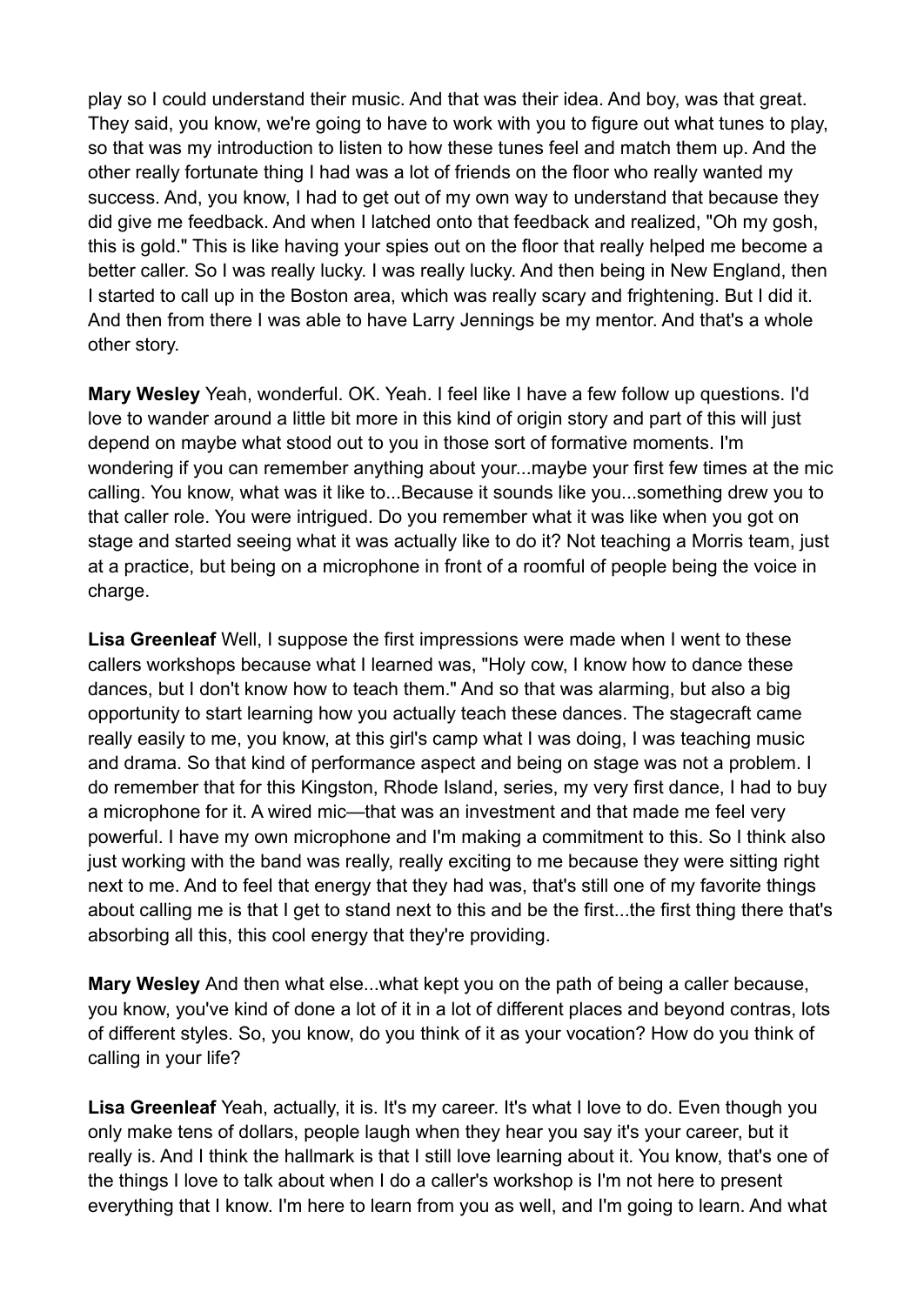play so I could understand their music. And that was their idea. And boy, was that great. They said, you know, we're going to have to work with you to figure out what tunes to play, so that was my introduction to listen to how these tunes feel and match them up. And the other really fortunate thing I had was a lot of friends on the floor who really wanted my success. And, you know, I had to get out of my own way to understand that because they did give me feedback. And when I latched onto that feedback and realized, "Oh my gosh, this is gold." This is like having your spies out on the floor that really helped me become a better caller. So I was really lucky. I was really lucky. And then being in New England, then I started to call up in the Boston area, which was really scary and frightening. But I did it. And then from there I was able to have Larry Jennings be my mentor. And that's a whole other story.

**Mary Wesley** Yeah, wonderful. OK. Yeah. I feel like I have a few follow up questions. I'd love to wander around a little bit more in this kind of origin story and part of this will just depend on maybe what stood out to you in those sort of formative moments. I'm wondering if you can remember anything about your...maybe your first few times at the mic calling. You know, what was it like to...Because it sounds like you...something drew you to that caller role. You were intrigued. Do you remember what it was like when you got on stage and started seeing what it was actually like to do it? Not teaching a Morris team, just at a practice, but being on a microphone in front of a roomful of people being the voice in charge.

**Lisa Greenleaf** Well, I suppose the first impressions were made when I went to these callers workshops because what I learned was, "Holy cow, I know how to dance these dances, but I don't know how to teach them." And so that was alarming, but also a big opportunity to start learning how you actually teach these dances. The stagecraft came really easily to me, you know, at this girl's camp what I was doing, I was teaching music and drama. So that kind of performance aspect and being on stage was not a problem. I do remember that for this Kingston, Rhode Island, series, my very first dance, I had to buy a microphone for it. A wired mic—that was an investment and that made me feel very powerful. I have my own microphone and I'm making a commitment to this. So I think also just working with the band was really, really exciting to me because they were sitting right next to me. And to feel that energy that they had was, that's still one of my favorite things about calling me is that I get to stand next to this and be the first...the first thing there that's absorbing all this, this cool energy that they're providing.

**Mary Wesley** And then what else...what kept you on the path of being a caller because, you know, you've kind of done a lot of it in a lot of different places and beyond contras, lots of different styles. So, you know, do you think of it as your vocation? How do you think of calling in your life?

Lisa Greenleaf Yeah, actually, it is. It's my career. It's what I love to do. Even though you only make tens of dollars, people laugh when they hear you say it's your career, but it really is. And I think the hallmark is that I still love learning about it. You know, that's one of the things I love to talk about when I do a caller's workshop is I'm not here to present everything that I know. I'm here to learn from you as well, and I'm going to learn. And what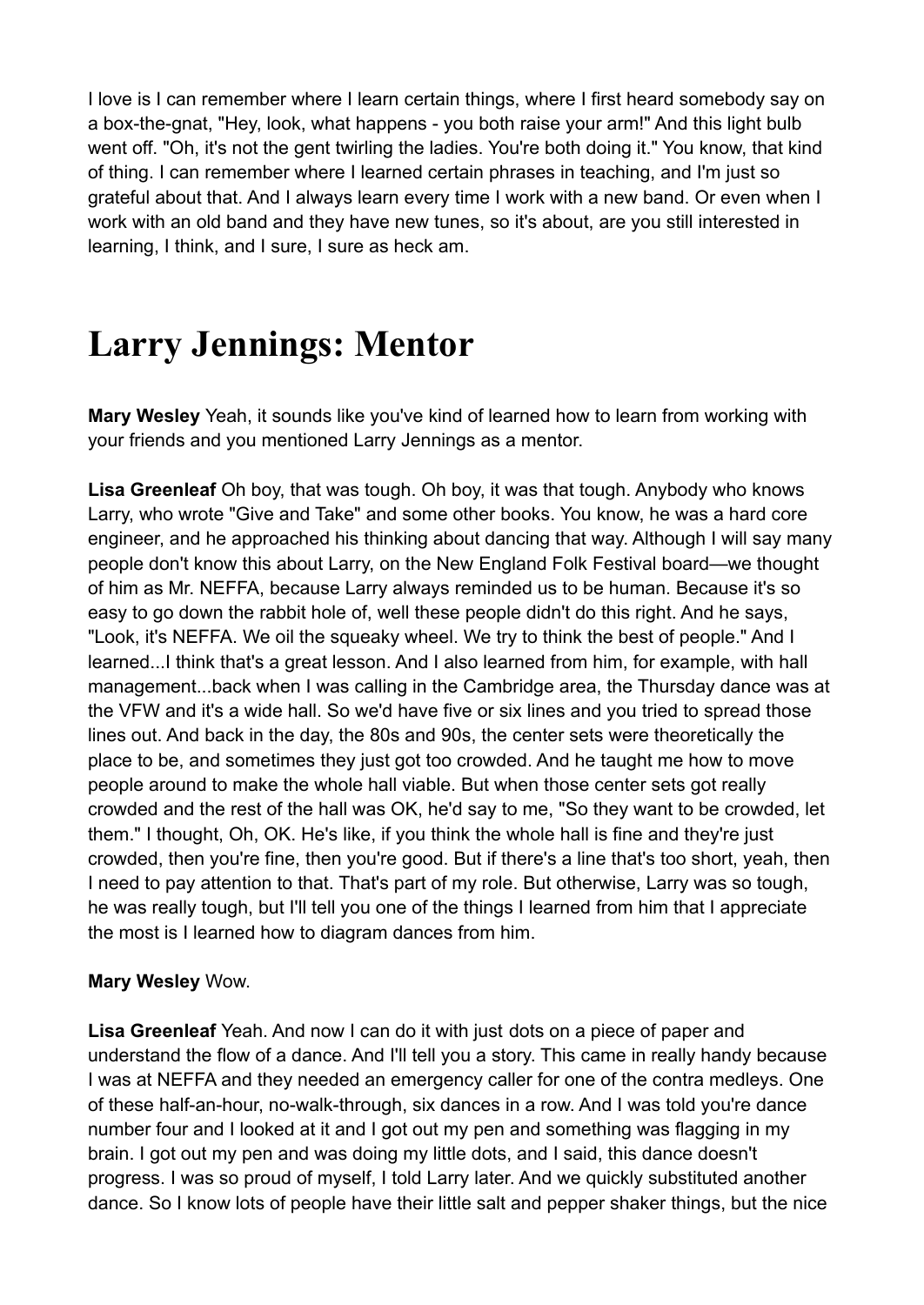I love is I can remember where I learn certain things, where I first heard somebody say on a box-the-gnat, "Hey, look, what happens - you both raise your arm!" And this light bulb went off. "Oh, it's not the gent twirling the ladies. You're both doing it." You know, that kind of thing. I can remember where I learned certain phrases in teaching, and I'm just so grateful about that. And I always learn every time I work with a new band. Or even when I work with an old band and they have new tunes, so it's about, are you still interested in learning, I think, and I sure, I sure as heck am.

### **Larry Jennings: Mentor**

**Mary Wesley** Yeah, it sounds like you've kind of learned how to learn from working with your friends and you mentioned Larry Jennings as a mentor.

**Lisa Greenleaf** Oh boy, that was tough. Oh boy, it was that tough. Anybody who knows Larry, who wrote "Give and Take" and some other books. You know, he was a hard core engineer, and he approached his thinking about dancing that way. Although I will say many people don't know this about Larry, on the New England Folk Festival board—we thought of him as Mr. NEFFA, because Larry always reminded us to be human. Because it's so easy to go down the rabbit hole of, well these people didn't do this right. And he says, "Look, it's NEFFA. We oil the squeaky wheel. We try to think the best of people." And I learned...I think that's a great lesson. And I also learned from him, for example, with hall management...back when I was calling in the Cambridge area, the Thursday dance was at the VFW and it's a wide hall. So we'd have five or six lines and you tried to spread those lines out. And back in the day, the 80s and 90s, the center sets were theoretically the place to be, and sometimes they just got too crowded. And he taught me how to move people around to make the whole hall viable. But when those center sets got really crowded and the rest of the hall was OK, he'd say to me, "So they want to be crowded, let them." I thought, Oh, OK. He's like, if you think the whole hall is fine and they're just crowded, then you're fine, then you're good. But if there's a line that's too short, yeah, then I need to pay attention to that. That's part of my role. But otherwise, Larry was so tough, he was really tough, but I'll tell you one of the things I learned from him that I appreciate the most is I learned how to diagram dances from him.

#### **Mary Wesley** Wow.

**Lisa Greenleaf** Yeah. And now I can do it with just dots on a piece of paper and understand the flow of a dance. And I'll tell you a story. This came in really handy because I was at NEFFA and they needed an emergency caller for one of the contra medleys. One of these half-an-hour, no-walk-through, six dances in a row. And I was told you're dance number four and I looked at it and I got out my pen and something was flagging in my brain. I got out my pen and was doing my little dots, and I said, this dance doesn't progress. I was so proud of myself, I told Larry later. And we quickly substituted another dance. So I know lots of people have their little salt and pepper shaker things, but the nice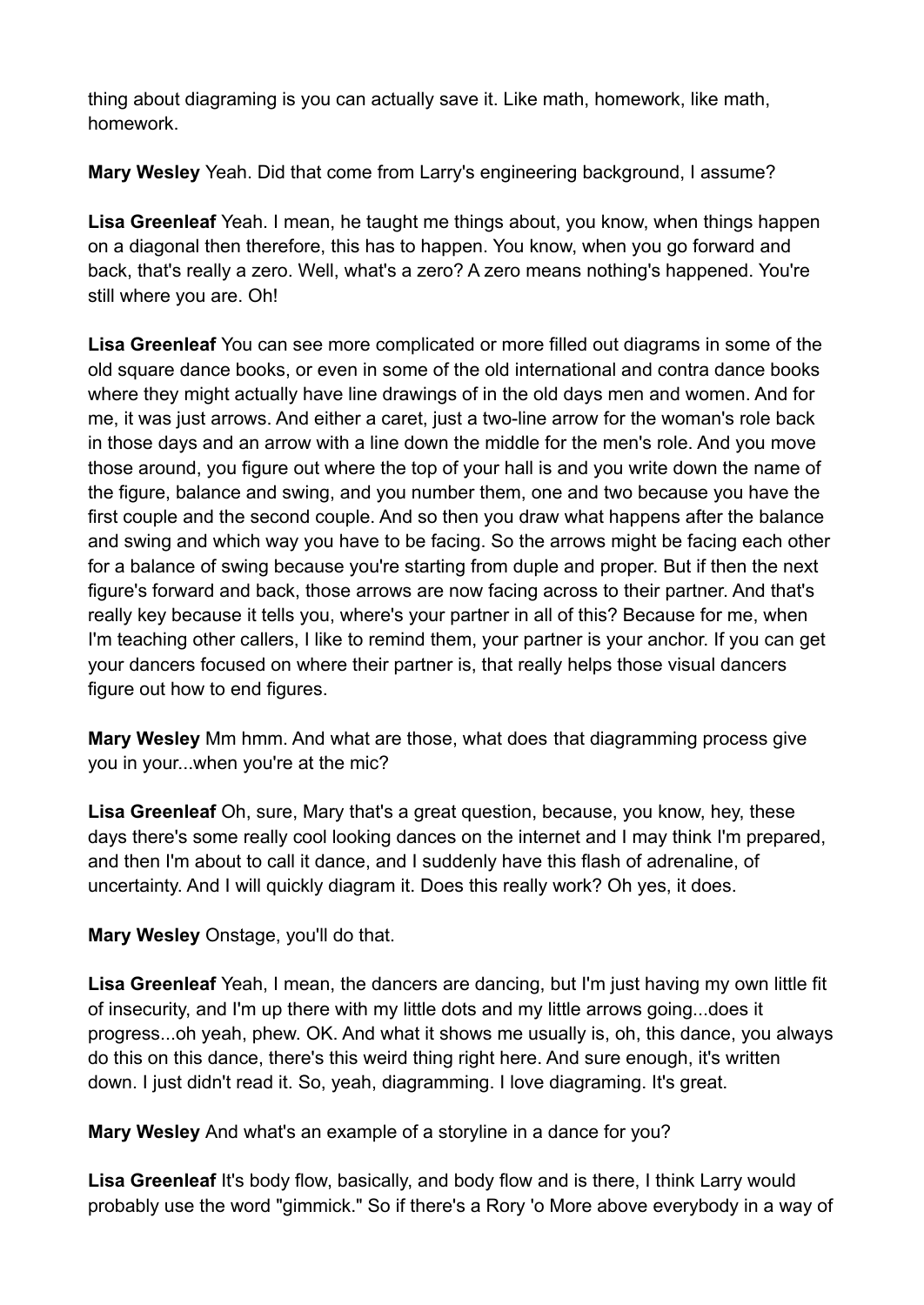thing about diagraming is you can actually save it. Like math, homework, like math, homework.

**Mary Wesley** Yeah. Did that come from Larry's engineering background, I assume?

**Lisa Greenleaf** Yeah. I mean, he taught me things about, you know, when things happen on a diagonal then therefore, this has to happen. You know, when you go forward and back, that's really a zero. Well, what's a zero? A zero means nothing's happened. You're still where you are. Oh!

**Lisa Greenleaf** You can see more complicated or more filled out diagrams in some of the old square dance books, or even in some of the old international and contra dance books where they might actually have line drawings of in the old days men and women. And for me, it was just arrows. And either a caret, just a two-line arrow for the woman's role back in those days and an arrow with a line down the middle for the men's role. And you move those around, you figure out where the top of your hall is and you write down the name of the figure, balance and swing, and you number them, one and two because you have the first couple and the second couple. And so then you draw what happens after the balance and swing and which way you have to be facing. So the arrows might be facing each other for a balance of swing because you're starting from duple and proper. But if then the next figure's forward and back, those arrows are now facing across to their partner. And that's really key because it tells you, where's your partner in all of this? Because for me, when I'm teaching other callers, I like to remind them, your partner is your anchor. If you can get your dancers focused on where their partner is, that really helps those visual dancers figure out how to end figures.

**Mary Wesley** Mm hmm. And what are those, what does that diagramming process give you in your...when you're at the mic?

**Lisa Greenleaf** Oh, sure, Mary that's a great question, because, you know, hey, these days there's some really cool looking dances on the internet and I may think I'm prepared, and then I'm about to call it dance, and I suddenly have this flash of adrenaline, of uncertainty. And I will quickly diagram it. Does this really work? Oh yes, it does.

**Mary Wesley** Onstage, you'll do that.

Lisa Greenleaf Yeah, I mean, the dancers are dancing, but I'm just having my own little fit of insecurity, and I'm up there with my little dots and my little arrows going...does it progress...oh yeah, phew. OK. And what it shows me usually is, oh, this dance, you always do this on this dance, there's this weird thing right here. And sure enough, it's written down. I just didn't read it. So, yeah, diagramming. I love diagraming. It's great.

**Mary Wesley** And what's an example of a storyline in a dance for you?

**Lisa Greenleaf** It's body flow, basically, and body flow and is there, I think Larry would probably use the word "gimmick." So if there's a Rory 'o More above everybody in a way of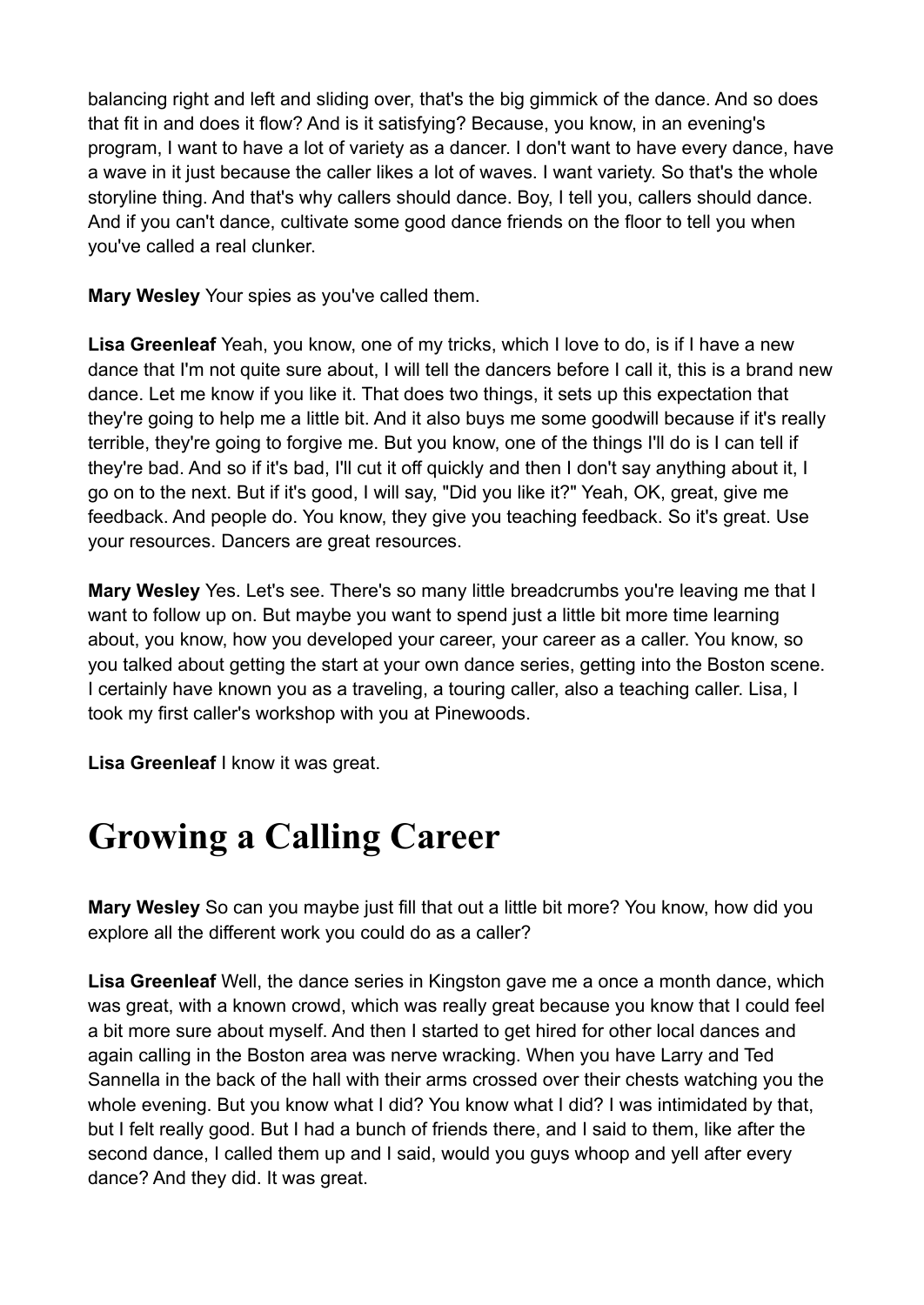balancing right and left and sliding over, that's the big gimmick of the dance. And so does that fit in and does it flow? And is it satisfying? Because, you know, in an evening's program, I want to have a lot of variety as a dancer. I don't want to have every dance, have a wave in it just because the caller likes a lot of waves. I want variety. So that's the whole storyline thing. And that's why callers should dance. Boy, I tell you, callers should dance. And if you can't dance, cultivate some good dance friends on the floor to tell you when you've called a real clunker.

**Mary Wesley** Your spies as you've called them.

**Lisa Greenleaf** Yeah, you know, one of my tricks, which I love to do, is if I have a new dance that I'm not quite sure about, I will tell the dancers before I call it, this is a brand new dance. Let me know if you like it. That does two things, it sets up this expectation that they're going to help me a little bit. And it also buys me some goodwill because if it's really terrible, they're going to forgive me. But you know, one of the things I'll do is I can tell if they're bad. And so if it's bad, I'll cut it off quickly and then I don't say anything about it, I go on to the next. But if it's good, I will say, "Did you like it?" Yeah, OK, great, give me feedback. And people do. You know, they give you teaching feedback. So it's great. Use your resources. Dancers are great resources.

**Mary Wesley** Yes. Let's see. There's so many little breadcrumbs you're leaving me that I want to follow up on. But maybe you want to spend just a little bit more time learning about, you know, how you developed your career, your career as a caller. You know, so you talked about getting the start at your own dance series, getting into the Boston scene. I certainly have known you as a traveling, a touring caller, also a teaching caller. Lisa, I took my first caller's workshop with you at Pinewoods.

**Lisa Greenleaf** I know it was great.

# **Growing a Calling Career**

**Mary Wesley** So can you maybe just fill that out a little bit more? You know, how did you explore all the different work you could do as a caller?

**Lisa Greenleaf** Well, the dance series in Kingston gave me a once a month dance, which was great, with a known crowd, which was really great because you know that I could feel a bit more sure about myself. And then I started to get hired for other local dances and again calling in the Boston area was nerve wracking. When you have Larry and Ted Sannella in the back of the hall with their arms crossed over their chests watching you the whole evening. But you know what I did? You know what I did? I was intimidated by that, but I felt really good. But I had a bunch of friends there, and I said to them, like after the second dance, I called them up and I said, would you guys whoop and yell after every dance? And they did. It was great.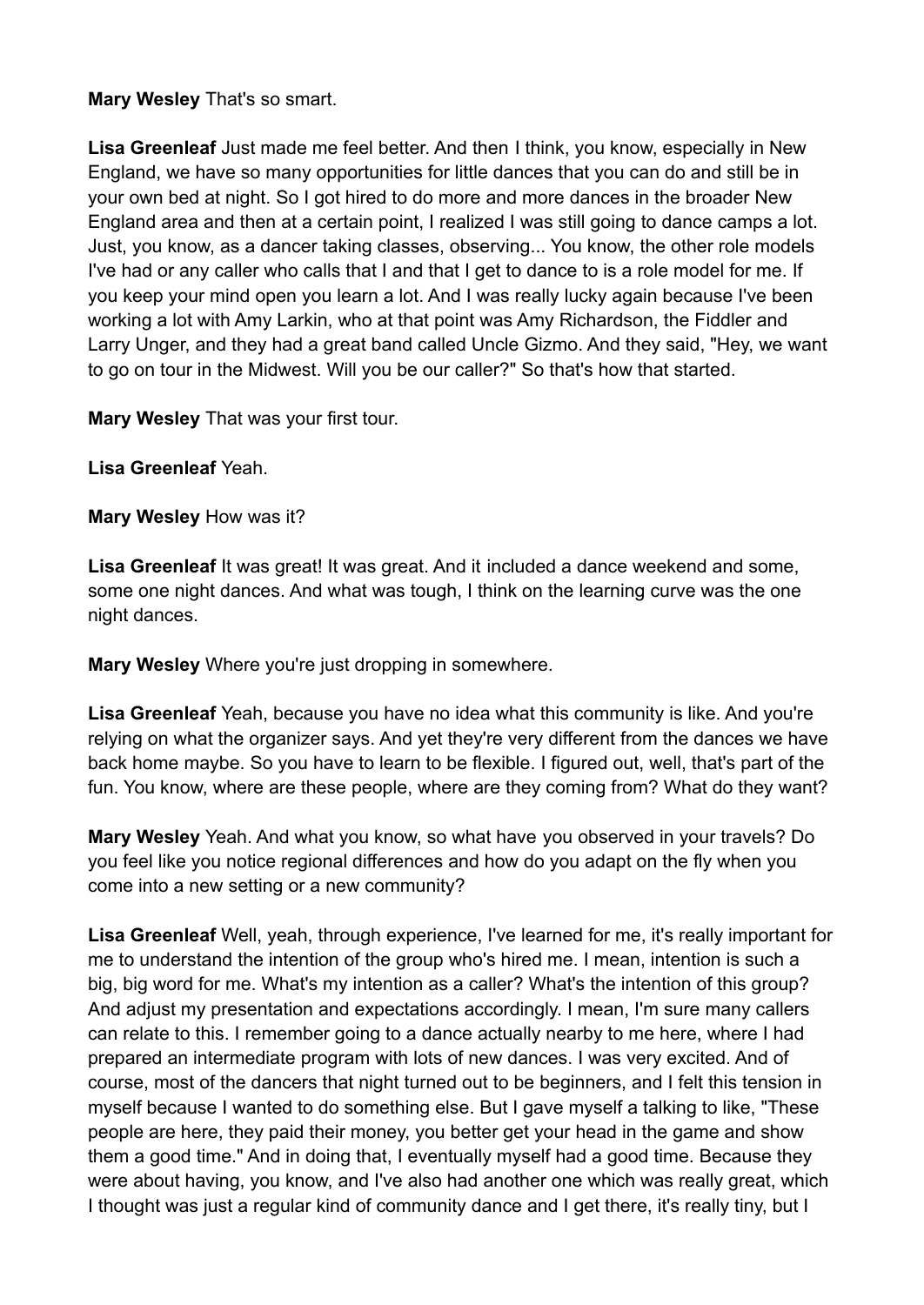### **Mary Wesley** That's so smart.

**Lisa Greenleaf** Just made me feel better. And then I think, you know, especially in New England, we have so many opportunities for little dances that you can do and still be in your own bed at night. So I got hired to do more and more dances in the broader New England area and then at a certain point, I realized I was still going to dance camps a lot. Just, you know, as a dancer taking classes, observing... You know, the other role models I've had or any caller who calls that I and that I get to dance to is a role model for me. If you keep your mind open you learn a lot. And I was really lucky again because I've been working a lot with Amy Larkin, who at that point was Amy Richardson, the Fiddler and Larry Unger, and they had a great band called Uncle Gizmo. And they said, "Hey, we want to go on tour in the Midwest. Will you be our caller?" So that's how that started.

**Mary Wesley** That was your first tour.

**Lisa Greenleaf** Yeah.

**Mary Wesley** How was it?

Lisa Greenleaf It was great! It was great. And it included a dance weekend and some, some one night dances. And what was tough, I think on the learning curve was the one night dances.

**Mary Wesley** Where you're just dropping in somewhere.

**Lisa Greenleaf** Yeah, because you have no idea what this community is like. And you're relying on what the organizer says. And yet they're very different from the dances we have back home maybe. So you have to learn to be flexible. I figured out, well, that's part of the fun. You know, where are these people, where are they coming from? What do they want?

**Mary Wesley** Yeah. And what you know, so what have you observed in your travels? Do you feel like you notice regional differences and how do you adapt on the fly when you come into a new setting or a new community?

**Lisa Greenleaf** Well, yeah, through experience, I've learned for me, it's really important for me to understand the intention of the group who's hired me. I mean, intention is such a big, big word for me. What's my intention as a caller? What's the intention of this group? And adjust my presentation and expectations accordingly. I mean, I'm sure many callers can relate to this. I remember going to a dance actually nearby to me here, where I had prepared an intermediate program with lots of new dances. I was very excited. And of course, most of the dancers that night turned out to be beginners, and I felt this tension in myself because I wanted to do something else. But I gave myself a talking to like, "These people are here, they paid their money, you better get your head in the game and show them a good time." And in doing that, I eventually myself had a good time. Because they were about having, you know, and I've also had another one which was really great, which I thought was just a regular kind of community dance and I get there, it's really tiny, but I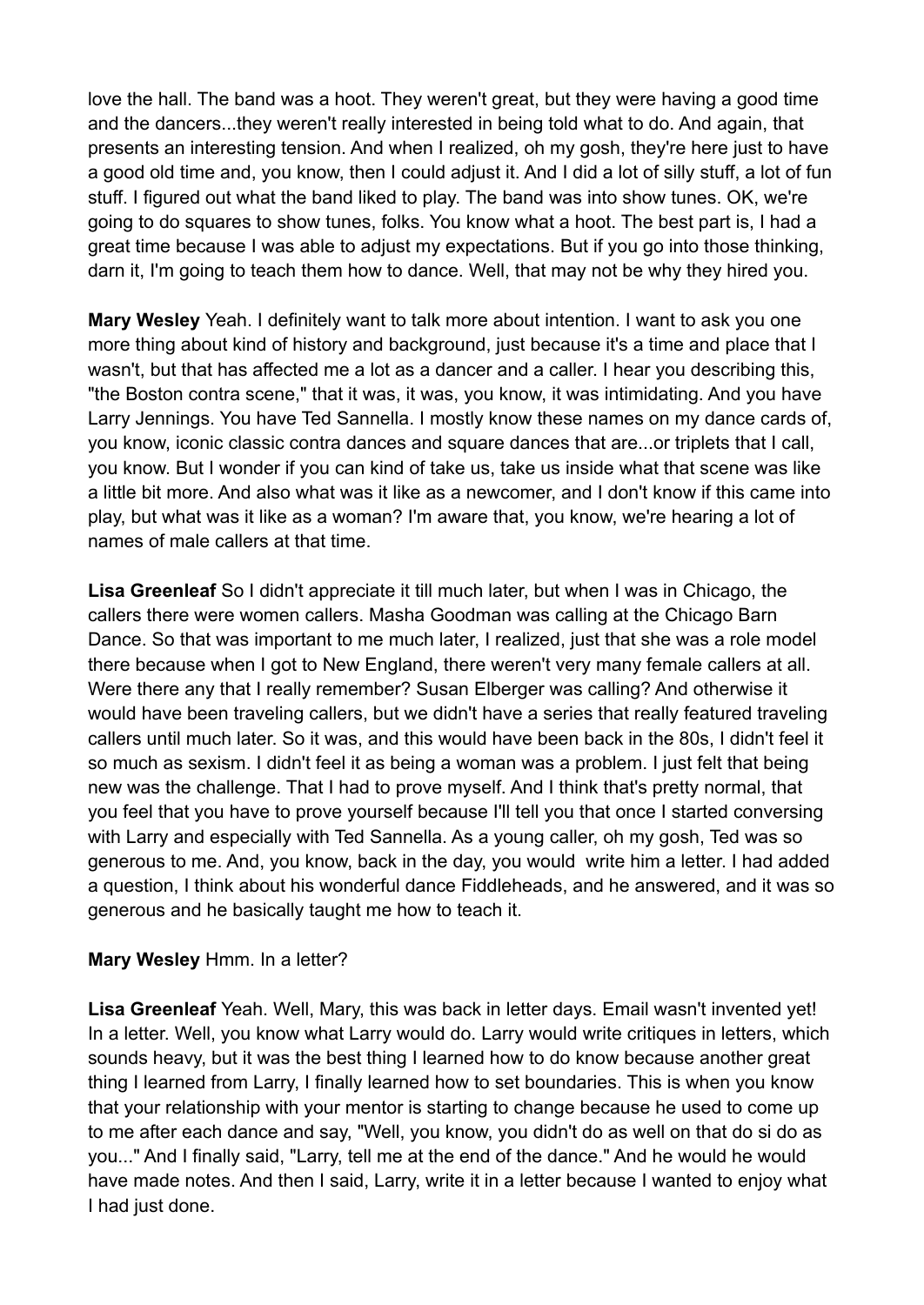love the hall. The band was a hoot. They weren't great, but they were having a good time and the dancers...they weren't really interested in being told what to do. And again, that presents an interesting tension. And when I realized, oh my gosh, they're here just to have a good old time and, you know, then I could adjust it. And I did a lot of silly stuff, a lot of fun stuff. I figured out what the band liked to play. The band was into show tunes. OK, we're going to do squares to show tunes, folks. You know what a hoot. The best part is, I had a great time because I was able to adjust my expectations. But if you go into those thinking, darn it, I'm going to teach them how to dance. Well, that may not be why they hired you.

**Mary Wesley** Yeah. I definitely want to talk more about intention. I want to ask you one more thing about kind of history and background, just because it's a time and place that I wasn't, but that has affected me a lot as a dancer and a caller. I hear you describing this, "the Boston contra scene," that it was, it was, you know, it was intimidating. And you have Larry Jennings. You have Ted Sannella. I mostly know these names on my dance cards of, you know, iconic classic contra dances and square dances that are...or triplets that I call, you know. But I wonder if you can kind of take us, take us inside what that scene was like a little bit more. And also what was it like as a newcomer, and I don't know if this came into play, but what was it like as a woman? I'm aware that, you know, we're hearing a lot of names of male callers at that time.

**Lisa Greenleaf** So I didn't appreciate it till much later, but when I was in Chicago, the callers there were women callers. Masha Goodman was calling at the Chicago Barn Dance. So that was important to me much later, I realized, just that she was a role model there because when I got to New England, there weren't very many female callers at all. Were there any that I really remember? Susan Elberger was calling? And otherwise it would have been traveling callers, but we didn't have a series that really featured traveling callers until much later. So it was, and this would have been back in the 80s, I didn't feel it so much as sexism. I didn't feel it as being a woman was a problem. I just felt that being new was the challenge. That I had to prove myself. And I think that's pretty normal, that you feel that you have to prove yourself because I'll tell you that once I started conversing with Larry and especially with Ted Sannella. As a young caller, oh my gosh, Ted was so generous to me. And, you know, back in the day, you would write him a letter. I had added a question, I think about his wonderful dance Fiddleheads, and he answered, and it was so generous and he basically taught me how to teach it.

#### **Mary Wesley** Hmm. In a letter?

**Lisa Greenleaf** Yeah. Well, Mary, this was back in letter days. Email wasn't invented yet! In a letter. Well, you know what Larry would do. Larry would write critiques in letters, which sounds heavy, but it was the best thing I learned how to do know because another great thing I learned from Larry, I finally learned how to set boundaries. This is when you know that your relationship with your mentor is starting to change because he used to come up to me after each dance and say, "Well, you know, you didn't do as well on that do si do as you..." And I finally said, "Larry, tell me at the end of the dance." And he would he would have made notes. And then I said, Larry, write it in a letter because I wanted to enjoy what I had just done.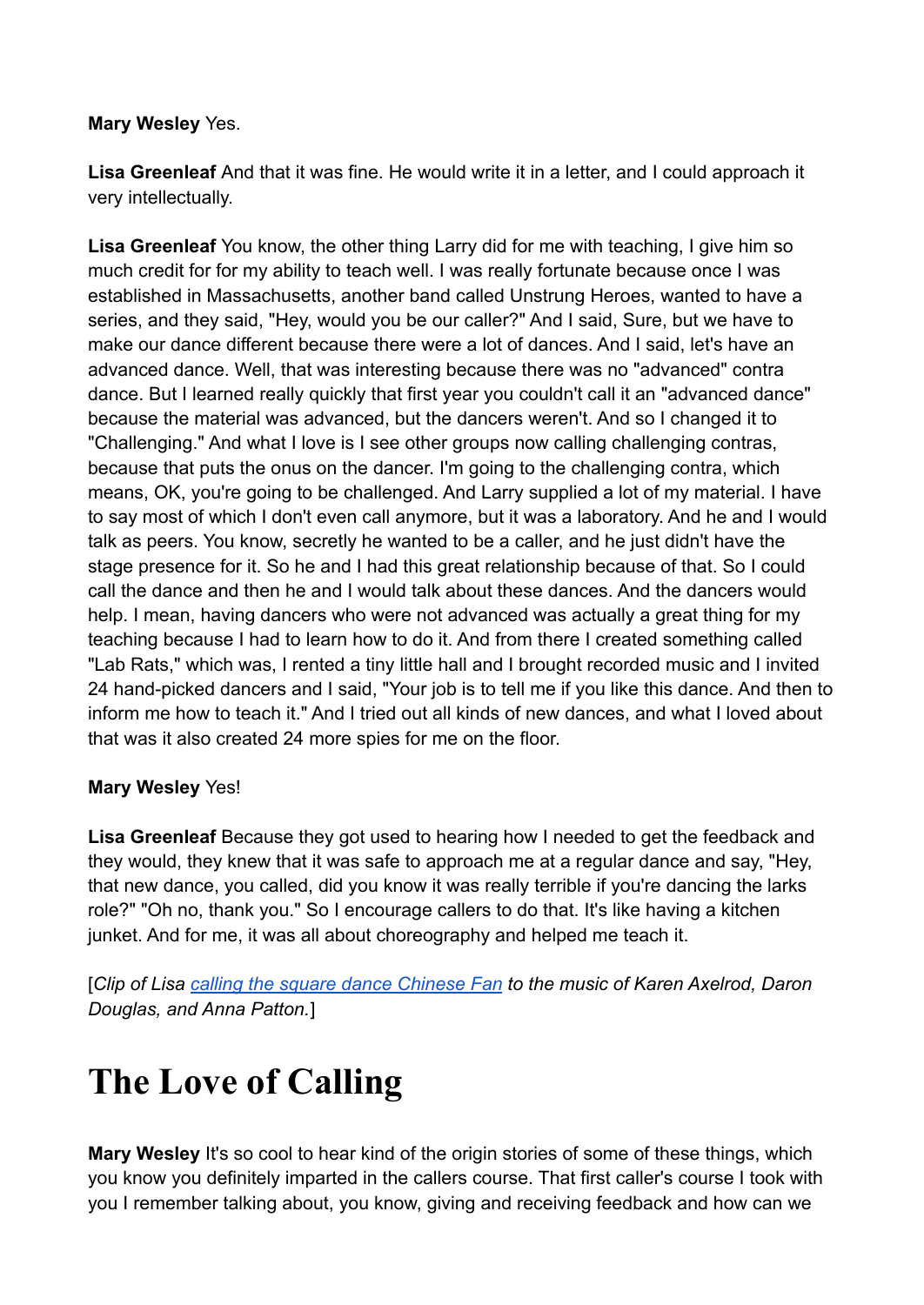### **Mary Wesley** Yes.

**Lisa Greenleaf** And that it was fine. He would write it in a letter, and I could approach it very intellectually.

**Lisa Greenleaf** You know, the other thing Larry did for me with teaching, I give him so much credit for for my ability to teach well. I was really fortunate because once I was established in Massachusetts, another band called Unstrung Heroes, wanted to have a series, and they said, "Hey, would you be our caller?" And I said, Sure, but we have to make our dance different because there were a lot of dances. And I said, let's have an advanced dance. Well, that was interesting because there was no "advanced" contra dance. But I learned really quickly that first year you couldn't call it an "advanced dance" because the material was advanced, but the dancers weren't. And so I changed it to "Challenging." And what I love is I see other groups now calling challenging contras, because that puts the onus on the dancer. I'm going to the challenging contra, which means, OK, you're going to be challenged. And Larry supplied a lot of my material. I have to say most of which I don't even call anymore, but it was a laboratory. And he and I would talk as peers. You know, secretly he wanted to be a caller, and he just didn't have the stage presence for it. So he and I had this great relationship because of that. So I could call the dance and then he and I would talk about these dances. And the dancers would help. I mean, having dancers who were not advanced was actually a great thing for my teaching because I had to learn how to do it. And from there I created something called "Lab Rats," which was, I rented a tiny little hall and I brought recorded music and I invited 24 hand-picked dancers and I said, "Your job is to tell me if you like this dance. And then to inform me how to teach it." And I tried out all kinds of new dances, and what I loved about that was it also created 24 more spies for me on the floor.

### **Mary Wesley** Yes!

**Lisa Greenleaf** Because they got used to hearing how I needed to get the feedback and they would, they knew that it was safe to approach me at a regular dance and say, "Hey, that new dance, you called, did you know it was really terrible if you're dancing the larks role?" "Oh no, thank you." So I encourage callers to do that. It's like having a kitchen junket. And for me, it was all about choreography and helped me teach it.

[*Clip of Lisa [calling the square dance Chinese Fan](https://www.youtube.com/watch?v=UstrShqZ0_U) to the music of Karen Axelrod, Daron Douglas, and Anna Patton.*]

# **The Love of Calling**

**Mary Wesley** It's so cool to hear kind of the origin stories of some of these things, which you know you definitely imparted in the callers course. That first caller's course I took with you I remember talking about, you know, giving and receiving feedback and how can we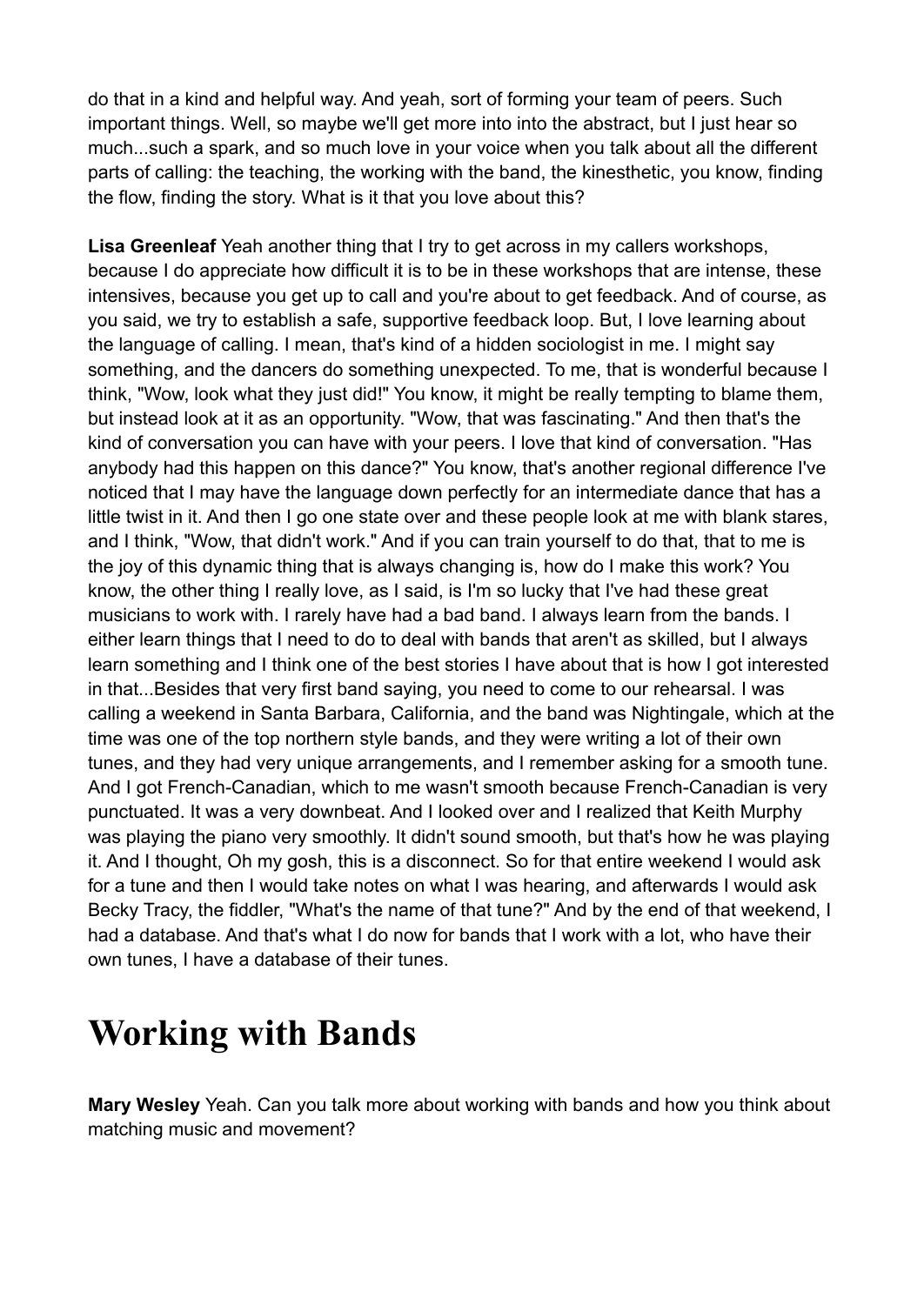do that in a kind and helpful way. And yeah, sort of forming your team of peers. Such important things. Well, so maybe we'll get more into into the abstract, but I just hear so much...such a spark, and so much love in your voice when you talk about all the different parts of calling: the teaching, the working with the band, the kinesthetic, you know, finding the flow, finding the story. What is it that you love about this?

**Lisa Greenleaf** Yeah another thing that I try to get across in my callers workshops, because I do appreciate how difficult it is to be in these workshops that are intense, these intensives, because you get up to call and you're about to get feedback. And of course, as you said, we try to establish a safe, supportive feedback loop. But, I love learning about the language of calling. I mean, that's kind of a hidden sociologist in me. I might say something, and the dancers do something unexpected. To me, that is wonderful because I think, "Wow, look what they just did!" You know, it might be really tempting to blame them, but instead look at it as an opportunity. "Wow, that was fascinating." And then that's the kind of conversation you can have with your peers. I love that kind of conversation. "Has anybody had this happen on this dance?" You know, that's another regional difference I've noticed that I may have the language down perfectly for an intermediate dance that has a little twist in it. And then I go one state over and these people look at me with blank stares, and I think, "Wow, that didn't work." And if you can train yourself to do that, that to me is the joy of this dynamic thing that is always changing is, how do I make this work? You know, the other thing I really love, as I said, is I'm so lucky that I've had these great musicians to work with. I rarely have had a bad band. I always learn from the bands. I either learn things that I need to do to deal with bands that aren't as skilled, but I always learn something and I think one of the best stories I have about that is how I got interested in that...Besides that very first band saying, you need to come to our rehearsal. I was calling a weekend in Santa Barbara, California, and the band was Nightingale, which at the time was one of the top northern style bands, and they were writing a lot of their own tunes, and they had very unique arrangements, and I remember asking for a smooth tune. And I got French-Canadian, which to me wasn't smooth because French-Canadian is very punctuated. It was a very downbeat. And I looked over and I realized that Keith Murphy was playing the piano very smoothly. It didn't sound smooth, but that's how he was playing it. And I thought, Oh my gosh, this is a disconnect. So for that entire weekend I would ask for a tune and then I would take notes on what I was hearing, and afterwards I would ask Becky Tracy, the fiddler, "What's the name of that tune?" And by the end of that weekend, I had a database. And that's what I do now for bands that I work with a lot, who have their own tunes, I have a database of their tunes.

### **Working with Bands**

**Mary Wesley** Yeah. Can you talk more about working with bands and how you think about matching music and movement?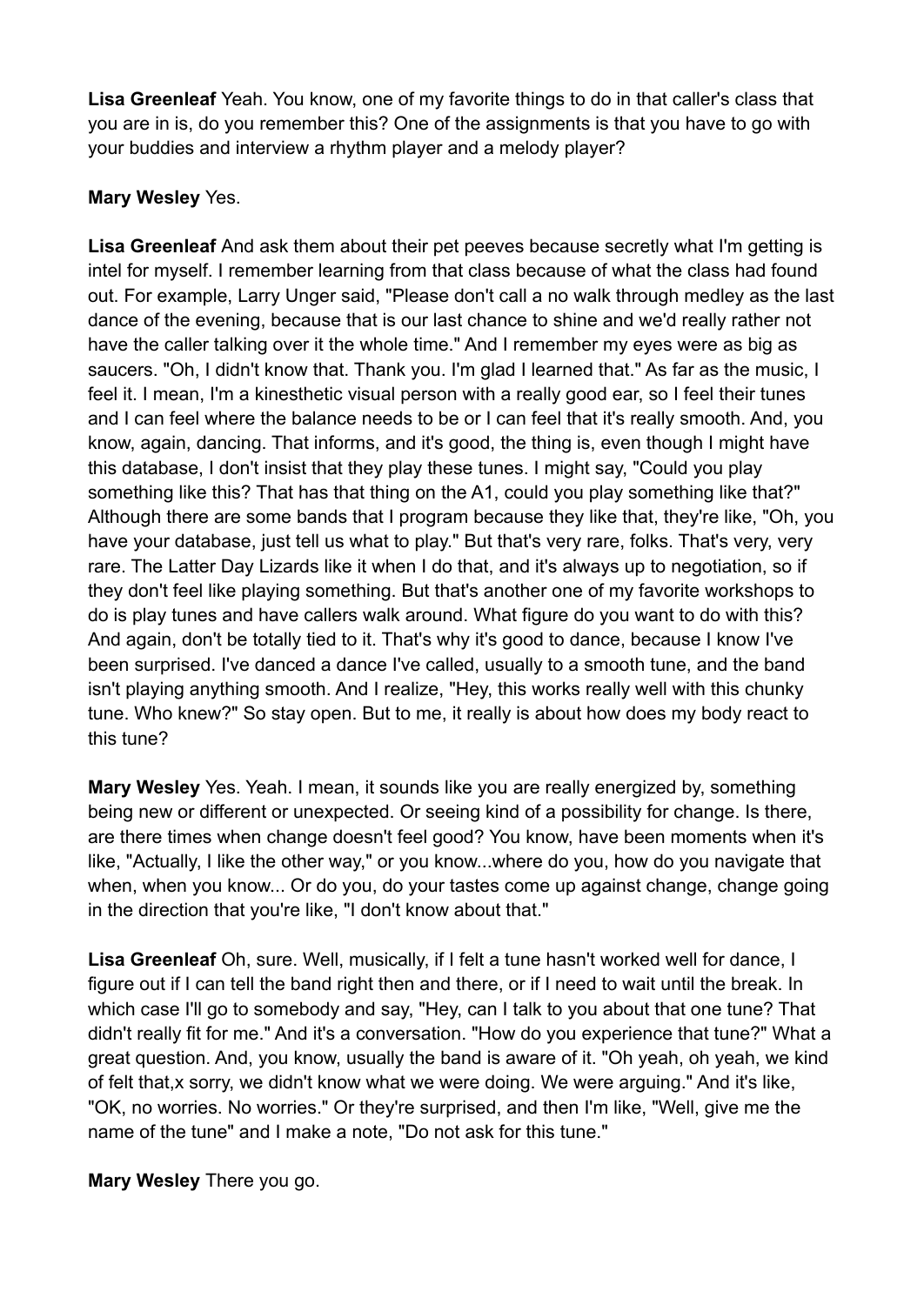**Lisa Greenleaf** Yeah. You know, one of my favorite things to do in that caller's class that you are in is, do you remember this? One of the assignments is that you have to go with your buddies and interview a rhythm player and a melody player?

### **Mary Wesley** Yes.

**Lisa Greenleaf** And ask them about their pet peeves because secretly what I'm getting is intel for myself. I remember learning from that class because of what the class had found out. For example, Larry Unger said, "Please don't call a no walk through medley as the last dance of the evening, because that is our last chance to shine and we'd really rather not have the caller talking over it the whole time." And I remember my eyes were as big as saucers. "Oh, I didn't know that. Thank you. I'm glad I learned that." As far as the music, I feel it. I mean, I'm a kinesthetic visual person with a really good ear, so I feel their tunes and I can feel where the balance needs to be or I can feel that it's really smooth. And, you know, again, dancing. That informs, and it's good, the thing is, even though I might have this database, I don't insist that they play these tunes. I might say, "Could you play something like this? That has that thing on the A1, could you play something like that?" Although there are some bands that I program because they like that, they're like, "Oh, you have your database, just tell us what to play." But that's very rare, folks. That's very, very rare. The Latter Day Lizards like it when I do that, and it's always up to negotiation, so if they don't feel like playing something. But that's another one of my favorite workshops to do is play tunes and have callers walk around. What figure do you want to do with this? And again, don't be totally tied to it. That's why it's good to dance, because I know I've been surprised. I've danced a dance I've called, usually to a smooth tune, and the band isn't playing anything smooth. And I realize, "Hey, this works really well with this chunky tune. Who knew?" So stay open. But to me, it really is about how does my body react to this tune?

**Mary Wesley** Yes. Yeah. I mean, it sounds like you are really energized by, something being new or different or unexpected. Or seeing kind of a possibility for change. Is there, are there times when change doesn't feel good? You know, have been moments when it's like, "Actually, I like the other way," or you know...where do you, how do you navigate that when, when you know... Or do you, do your tastes come up against change, change going in the direction that you're like, "I don't know about that."

**Lisa Greenleaf** Oh, sure. Well, musically, if I felt a tune hasn't worked well for dance, I figure out if I can tell the band right then and there, or if I need to wait until the break. In which case I'll go to somebody and say, "Hey, can I talk to you about that one tune? That didn't really fit for me." And it's a conversation. "How do you experience that tune?" What a great question. And, you know, usually the band is aware of it. "Oh yeah, oh yeah, we kind of felt that,x sorry, we didn't know what we were doing. We were arguing." And it's like, "OK, no worries. No worries." Or they're surprised, and then I'm like, "Well, give me the name of the tune" and I make a note, "Do not ask for this tune."

**Mary Wesley** There you go.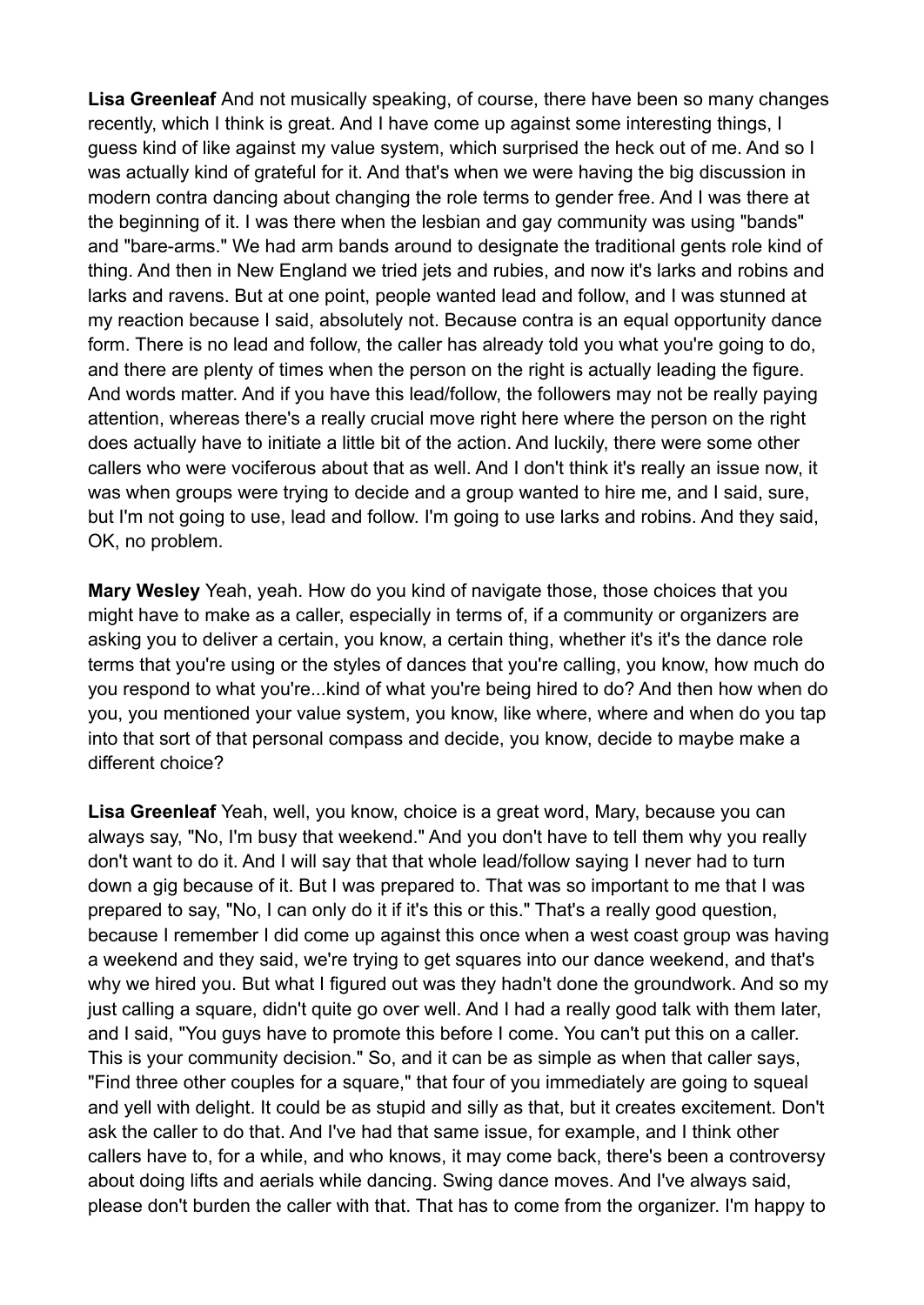**Lisa Greenleaf** And not musically speaking, of course, there have been so many changes recently, which I think is great. And I have come up against some interesting things, I guess kind of like against my value system, which surprised the heck out of me. And so I was actually kind of grateful for it. And that's when we were having the big discussion in modern contra dancing about changing the role terms to gender free. And I was there at the beginning of it. I was there when the lesbian and gay community was using "bands" and "bare-arms." We had arm bands around to designate the traditional gents role kind of thing. And then in New England we tried jets and rubies, and now it's larks and robins and larks and ravens. But at one point, people wanted lead and follow, and I was stunned at my reaction because I said, absolutely not. Because contra is an equal opportunity dance form. There is no lead and follow, the caller has already told you what you're going to do, and there are plenty of times when the person on the right is actually leading the figure. And words matter. And if you have this lead/follow, the followers may not be really paying attention, whereas there's a really crucial move right here where the person on the right does actually have to initiate a little bit of the action. And luckily, there were some other callers who were vociferous about that as well. And I don't think it's really an issue now, it was when groups were trying to decide and a group wanted to hire me, and I said, sure, but I'm not going to use, lead and follow. I'm going to use larks and robins. And they said, OK, no problem.

**Mary Wesley** Yeah, yeah. How do you kind of navigate those, those choices that you might have to make as a caller, especially in terms of, if a community or organizers are asking you to deliver a certain, you know, a certain thing, whether it's it's the dance role terms that you're using or the styles of dances that you're calling, you know, how much do you respond to what you're...kind of what you're being hired to do? And then how when do you, you mentioned your value system, you know, like where, where and when do you tap into that sort of that personal compass and decide, you know, decide to maybe make a different choice?

**Lisa Greenleaf** Yeah, well, you know, choice is a great word, Mary, because you can always say, "No, I'm busy that weekend." And you don't have to tell them why you really don't want to do it. And I will say that that whole lead/follow saying I never had to turn down a gig because of it. But I was prepared to. That was so important to me that I was prepared to say, "No, I can only do it if it's this or this." That's a really good question, because I remember I did come up against this once when a west coast group was having a weekend and they said, we're trying to get squares into our dance weekend, and that's why we hired you. But what I figured out was they hadn't done the groundwork. And so my just calling a square, didn't quite go over well. And I had a really good talk with them later, and I said, "You guys have to promote this before I come. You can't put this on a caller. This is your community decision." So, and it can be as simple as when that caller says, "Find three other couples for a square," that four of you immediately are going to squeal and yell with delight. It could be as stupid and silly as that, but it creates excitement. Don't ask the caller to do that. And I've had that same issue, for example, and I think other callers have to, for a while, and who knows, it may come back, there's been a controversy about doing lifts and aerials while dancing. Swing dance moves. And I've always said, please don't burden the caller with that. That has to come from the organizer. I'm happy to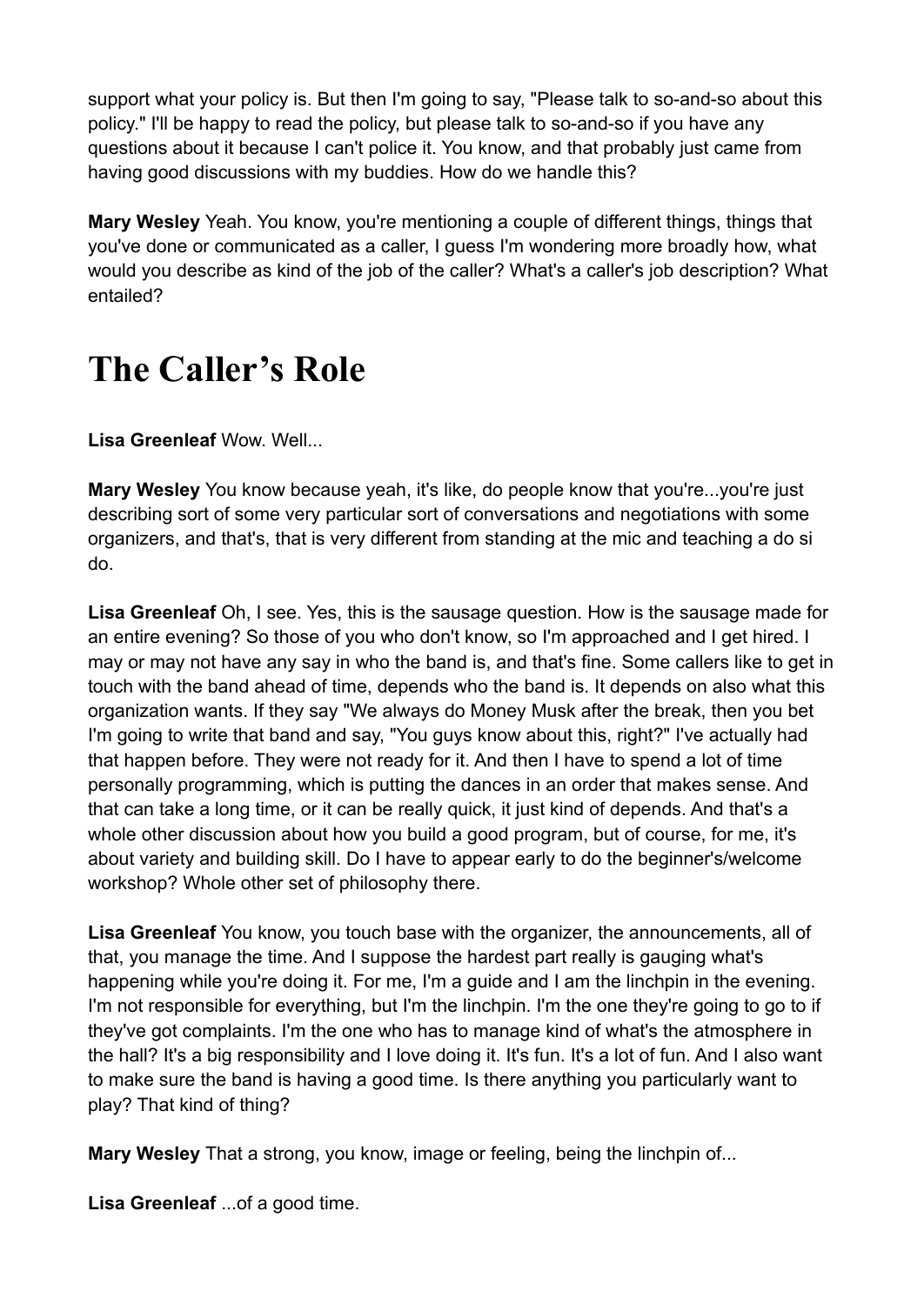support what your policy is. But then I'm going to say, "Please talk to so-and-so about this policy." I'll be happy to read the policy, but please talk to so-and-so if you have any questions about it because I can't police it. You know, and that probably just came from having good discussions with my buddies. How do we handle this?

**Mary Wesley** Yeah. You know, you're mentioning a couple of different things, things that you've done or communicated as a caller, I guess I'm wondering more broadly how, what would you describe as kind of the job of the caller? What's a caller's job description? What entailed?

### **The Caller's Role**

**Lisa Greenleaf** Wow. Well...

**Mary Wesley** You know because yeah, it's like, do people know that you're...you're just describing sort of some very particular sort of conversations and negotiations with some organizers, and that's, that is very different from standing at the mic and teaching a do si do.

**Lisa Greenleaf** Oh, I see. Yes, this is the sausage question. How is the sausage made for an entire evening? So those of you who don't know, so I'm approached and I get hired. I may or may not have any say in who the band is, and that's fine. Some callers like to get in touch with the band ahead of time, depends who the band is. It depends on also what this organization wants. If they say "We always do Money Musk after the break, then you bet I'm going to write that band and say, "You guys know about this, right?" I've actually had that happen before. They were not ready for it. And then I have to spend a lot of time personally programming, which is putting the dances in an order that makes sense. And that can take a long time, or it can be really quick, it just kind of depends. And that's a whole other discussion about how you build a good program, but of course, for me, it's about variety and building skill. Do I have to appear early to do the beginner's/welcome workshop? Whole other set of philosophy there.

**Lisa Greenleaf** You know, you touch base with the organizer, the announcements, all of that, you manage the time. And I suppose the hardest part really is gauging what's happening while you're doing it. For me, I'm a guide and I am the linchpin in the evening. I'm not responsible for everything, but I'm the linchpin. I'm the one they're going to go to if they've got complaints. I'm the one who has to manage kind of what's the atmosphere in the hall? It's a big responsibility and I love doing it. It's fun. It's a lot of fun. And I also want to make sure the band is having a good time. Is there anything you particularly want to play? That kind of thing?

**Mary Wesley** That a strong, you know, image or feeling, being the linchpin of...

**Lisa Greenleaf** ...of a good time.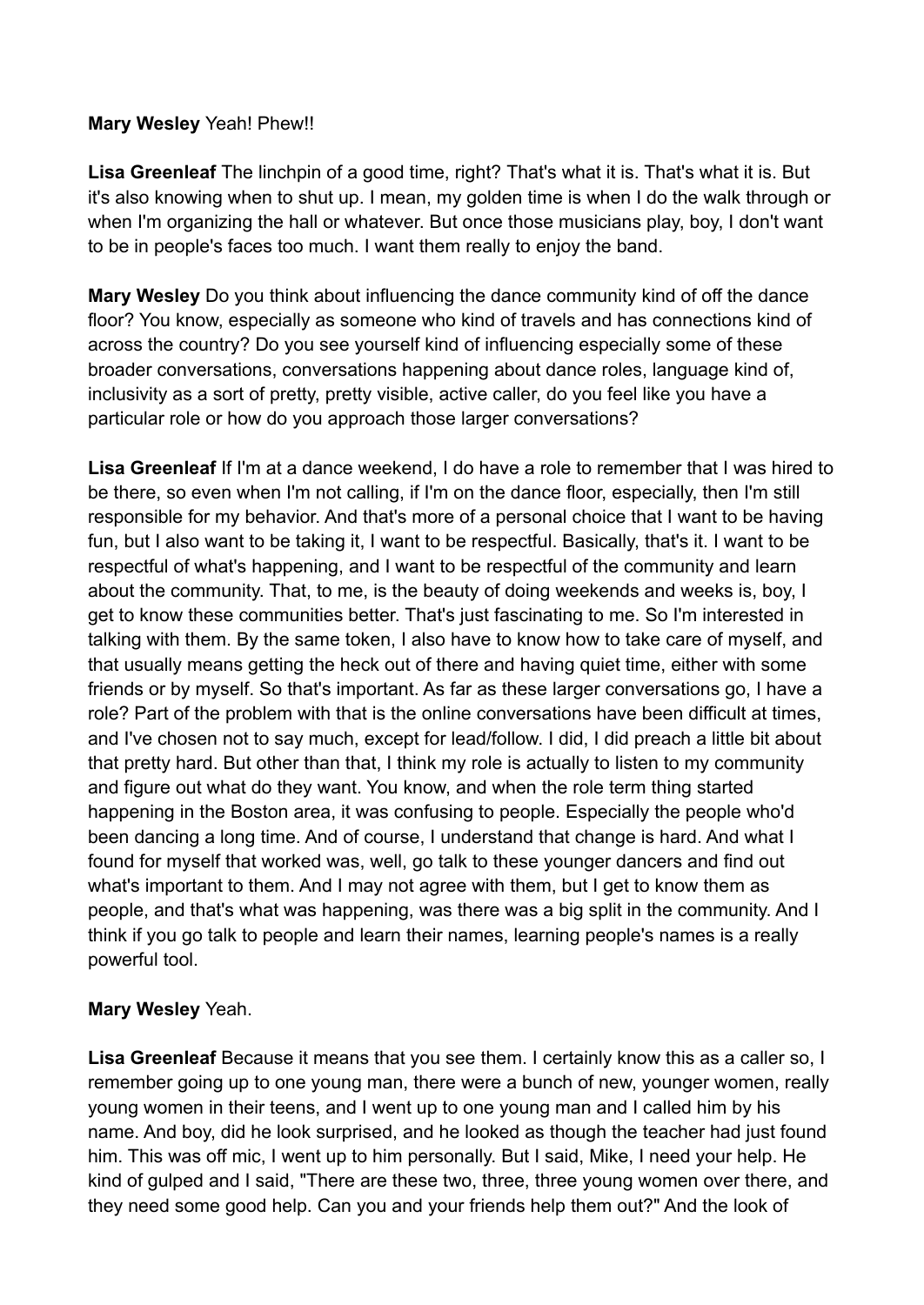### **Mary Wesley** Yeah! Phew!!

Lisa Greenleaf The linchpin of a good time, right? That's what it is. That's what it is. But it's also knowing when to shut up. I mean, my golden time is when I do the walk through or when I'm organizing the hall or whatever. But once those musicians play, boy, I don't want to be in people's faces too much. I want them really to enjoy the band.

**Mary Wesley** Do you think about influencing the dance community kind of off the dance floor? You know, especially as someone who kind of travels and has connections kind of across the country? Do you see yourself kind of influencing especially some of these broader conversations, conversations happening about dance roles, language kind of, inclusivity as a sort of pretty, pretty visible, active caller, do you feel like you have a particular role or how do you approach those larger conversations?

**Lisa Greenleaf** If I'm at a dance weekend, I do have a role to remember that I was hired to be there, so even when I'm not calling, if I'm on the dance floor, especially, then I'm still responsible for my behavior. And that's more of a personal choice that I want to be having fun, but I also want to be taking it, I want to be respectful. Basically, that's it. I want to be respectful of what's happening, and I want to be respectful of the community and learn about the community. That, to me, is the beauty of doing weekends and weeks is, boy, I get to know these communities better. That's just fascinating to me. So I'm interested in talking with them. By the same token, I also have to know how to take care of myself, and that usually means getting the heck out of there and having quiet time, either with some friends or by myself. So that's important. As far as these larger conversations go, I have a role? Part of the problem with that is the online conversations have been difficult at times, and I've chosen not to say much, except for lead/follow. I did, I did preach a little bit about that pretty hard. But other than that, I think my role is actually to listen to my community and figure out what do they want. You know, and when the role term thing started happening in the Boston area, it was confusing to people. Especially the people who'd been dancing a long time. And of course, I understand that change is hard. And what I found for myself that worked was, well, go talk to these younger dancers and find out what's important to them. And I may not agree with them, but I get to know them as people, and that's what was happening, was there was a big split in the community. And I think if you go talk to people and learn their names, learning people's names is a really powerful tool.

#### **Mary Wesley** Yeah.

**Lisa Greenleaf** Because it means that you see them. I certainly know this as a caller so, I remember going up to one young man, there were a bunch of new, younger women, really young women in their teens, and I went up to one young man and I called him by his name. And boy, did he look surprised, and he looked as though the teacher had just found him. This was off mic, I went up to him personally. But I said, Mike, I need your help. He kind of gulped and I said, "There are these two, three, three young women over there, and they need some good help. Can you and your friends help them out?" And the look of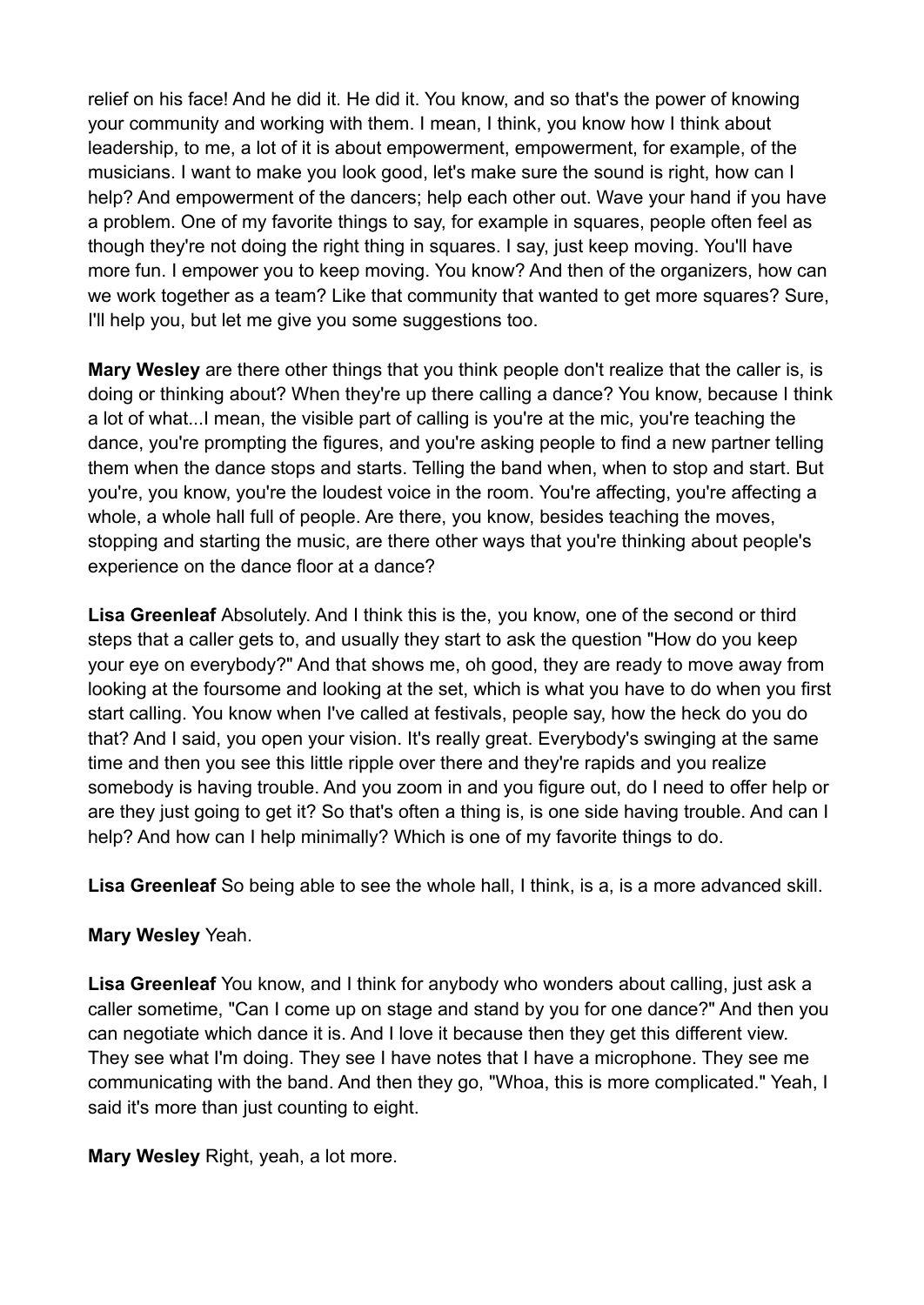relief on his face! And he did it. He did it. You know, and so that's the power of knowing your community and working with them. I mean, I think, you know how I think about leadership, to me, a lot of it is about empowerment, empowerment, for example, of the musicians. I want to make you look good, let's make sure the sound is right, how can I help? And empowerment of the dancers; help each other out. Wave your hand if you have a problem. One of my favorite things to say, for example in squares, people often feel as though they're not doing the right thing in squares. I say, just keep moving. You'll have more fun. I empower you to keep moving. You know? And then of the organizers, how can we work together as a team? Like that community that wanted to get more squares? Sure, I'll help you, but let me give you some suggestions too.

**Mary Wesley** are there other things that you think people don't realize that the caller is, is doing or thinking about? When they're up there calling a dance? You know, because I think a lot of what...I mean, the visible part of calling is you're at the mic, you're teaching the dance, you're prompting the figures, and you're asking people to find a new partner telling them when the dance stops and starts. Telling the band when, when to stop and start. But you're, you know, you're the loudest voice in the room. You're affecting, you're affecting a whole, a whole hall full of people. Are there, you know, besides teaching the moves, stopping and starting the music, are there other ways that you're thinking about people's experience on the dance floor at a dance?

**Lisa Greenleaf** Absolutely. And I think this is the, you know, one of the second or third steps that a caller gets to, and usually they start to ask the question "How do you keep your eye on everybody?" And that shows me, oh good, they are ready to move away from looking at the foursome and looking at the set, which is what you have to do when you first start calling. You know when I've called at festivals, people say, how the heck do you do that? And I said, you open your vision. It's really great. Everybody's swinging at the same time and then you see this little ripple over there and they're rapids and you realize somebody is having trouble. And you zoom in and you figure out, do I need to offer help or are they just going to get it? So that's often a thing is, is one side having trouble. And can I help? And how can I help minimally? Which is one of my favorite things to do.

**Lisa Greenleaf** So being able to see the whole hall, I think, is a, is a more advanced skill.

#### **Mary Wesley** Yeah.

**Lisa Greenleaf** You know, and I think for anybody who wonders about calling, just ask a caller sometime, "Can I come up on stage and stand by you for one dance?" And then you can negotiate which dance it is. And I love it because then they get this different view. They see what I'm doing. They see I have notes that I have a microphone. They see me communicating with the band. And then they go, "Whoa, this is more complicated." Yeah, I said it's more than just counting to eight.

**Mary Wesley** Right, yeah, a lot more.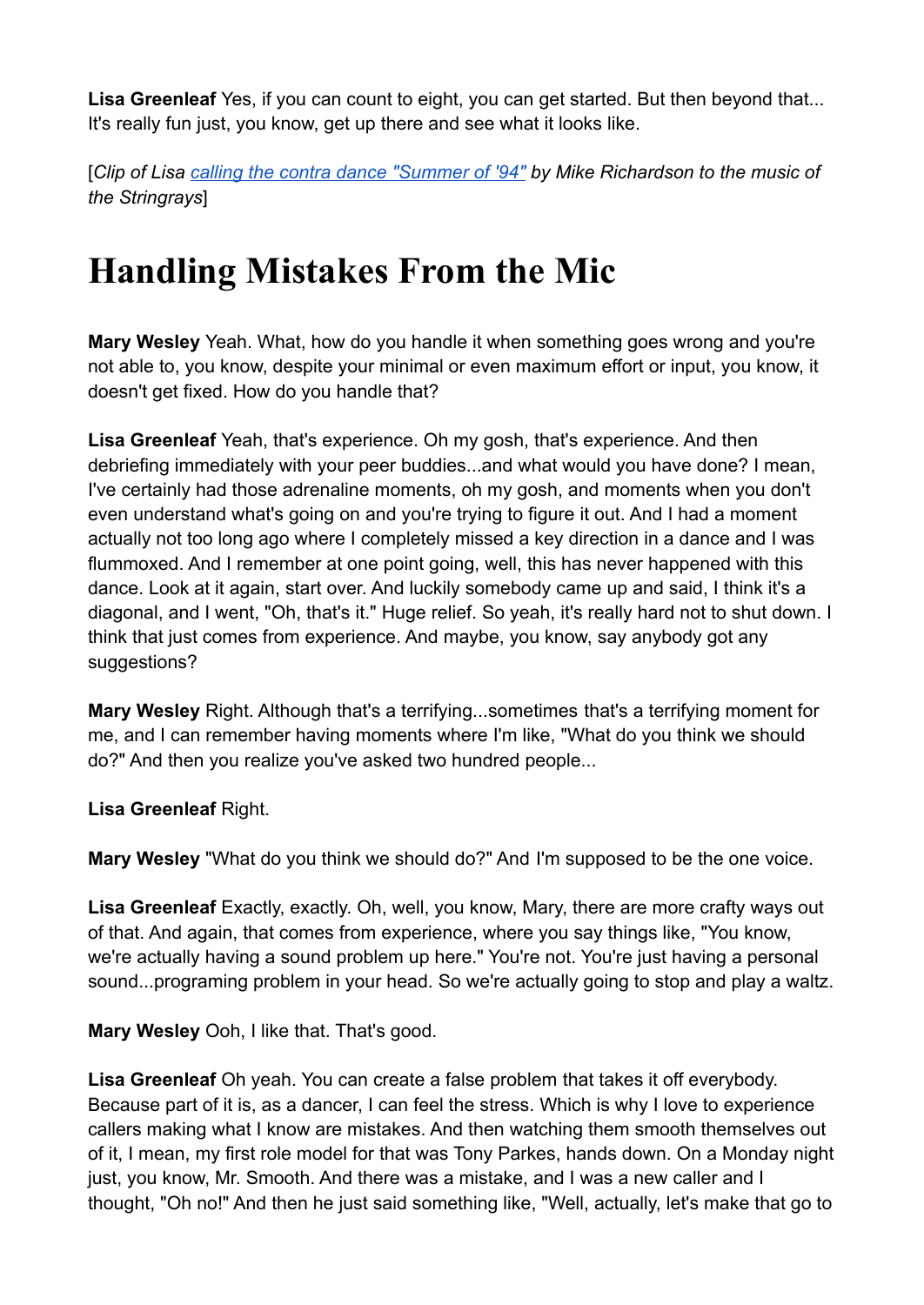Lisa Greenleaf Yes, if you can count to eight, you can get started. But then beyond that... It's really fun just, you know, get up there and see what it looks like.

[*Clip of Lisa [calling the contra dance "Summer of](https://www.youtube.com/watch?v=GQSeUyuqo20) '94" by Mike Richardson to the music of the Stringrays*]

### **Handling Mistakes From the Mic**

**Mary Wesley** Yeah. What, how do you handle it when something goes wrong and you're not able to, you know, despite your minimal or even maximum effort or input, you know, it doesn't get fixed. How do you handle that?

**Lisa Greenleaf** Yeah, that's experience. Oh my gosh, that's experience. And then debriefing immediately with your peer buddies...and what would you have done? I mean, I've certainly had those adrenaline moments, oh my gosh, and moments when you don't even understand what's going on and you're trying to figure it out. And I had a moment actually not too long ago where I completely missed a key direction in a dance and I was flummoxed. And I remember at one point going, well, this has never happened with this dance. Look at it again, start over. And luckily somebody came up and said, I think it's a diagonal, and I went, "Oh, that's it." Huge relief. So yeah, it's really hard not to shut down. I think that just comes from experience. And maybe, you know, say anybody got any suggestions?

**Mary Wesley** Right. Although that's a terrifying...sometimes that's a terrifying moment for me, and I can remember having moments where I'm like, "What do you think we should do?" And then you realize you've asked two hundred people...

**Lisa Greenleaf** Right.

**Mary Wesley** "What do you think we should do?" And I'm supposed to be the one voice.

**Lisa Greenleaf** Exactly, exactly. Oh, well, you know, Mary, there are more crafty ways out of that. And again, that comes from experience, where you say things like, "You know, we're actually having a sound problem up here." You're not. You're just having a personal sound...programing problem in your head. So we're actually going to stop and play a waltz.

**Mary Wesley** Ooh, I like that. That's good.

**Lisa Greenleaf** Oh yeah. You can create a false problem that takes it off everybody. Because part of it is, as a dancer, I can feel the stress. Which is why I love to experience callers making what I know are mistakes. And then watching them smooth themselves out of it, I mean, my first role model for that was Tony Parkes, hands down. On a Monday night just, you know, Mr. Smooth. And there was a mistake, and I was a new caller and I thought, "Oh no!" And then he just said something like, "Well, actually, let's make that go to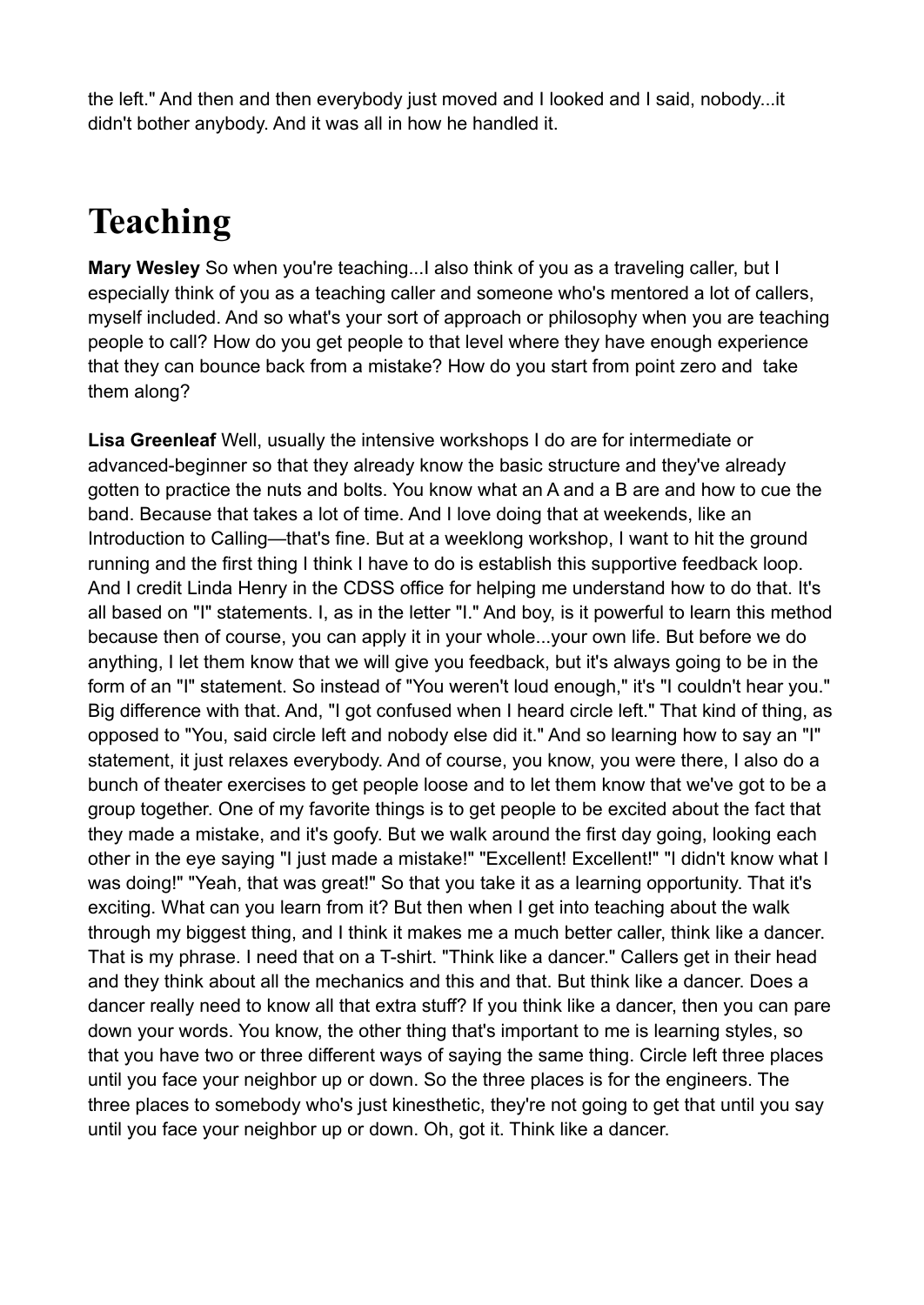the left." And then and then everybody just moved and I looked and I said, nobody...it didn't bother anybody. And it was all in how he handled it.

# **Teaching**

**Mary Wesley** So when you're teaching...I also think of you as a traveling caller, but I especially think of you as a teaching caller and someone who's mentored a lot of callers, myself included. And so what's your sort of approach or philosophy when you are teaching people to call? How do you get people to that level where they have enough experience that they can bounce back from a mistake? How do you start from point zero and take them along?

**Lisa Greenleaf** Well, usually the intensive workshops I do are for intermediate or advanced-beginner so that they already know the basic structure and they've already gotten to practice the nuts and bolts. You know what an A and a B are and how to cue the band. Because that takes a lot of time. And I love doing that at weekends, like an Introduction to Calling—that's fine. But at a weeklong workshop, I want to hit the ground running and the first thing I think I have to do is establish this supportive feedback loop. And I credit Linda Henry in the CDSS office for helping me understand how to do that. It's all based on "I" statements. I, as in the letter "I." And boy, is it powerful to learn this method because then of course, you can apply it in your whole...your own life. But before we do anything, I let them know that we will give you feedback, but it's always going to be in the form of an "I" statement. So instead of "You weren't loud enough," it's "I couldn't hear you." Big difference with that. And, "I got confused when I heard circle left." That kind of thing, as opposed to "You, said circle left and nobody else did it." And so learning how to say an "I" statement, it just relaxes everybody. And of course, you know, you were there, I also do a bunch of theater exercises to get people loose and to let them know that we've got to be a group together. One of my favorite things is to get people to be excited about the fact that they made a mistake, and it's goofy. But we walk around the first day going, looking each other in the eye saying "I just made a mistake!" "Excellent! Excellent!" "I didn't know what I was doing!" "Yeah, that was great!" So that you take it as a learning opportunity. That it's exciting. What can you learn from it? But then when I get into teaching about the walk through my biggest thing, and I think it makes me a much better caller, think like a dancer. That is my phrase. I need that on a T-shirt. "Think like a dancer." Callers get in their head and they think about all the mechanics and this and that. But think like a dancer. Does a dancer really need to know all that extra stuff? If you think like a dancer, then you can pare down your words. You know, the other thing that's important to me is learning styles, so that you have two or three different ways of saying the same thing. Circle left three places until you face your neighbor up or down. So the three places is for the engineers. The three places to somebody who's just kinesthetic, they're not going to get that until you say until you face your neighbor up or down. Oh, got it. Think like a dancer.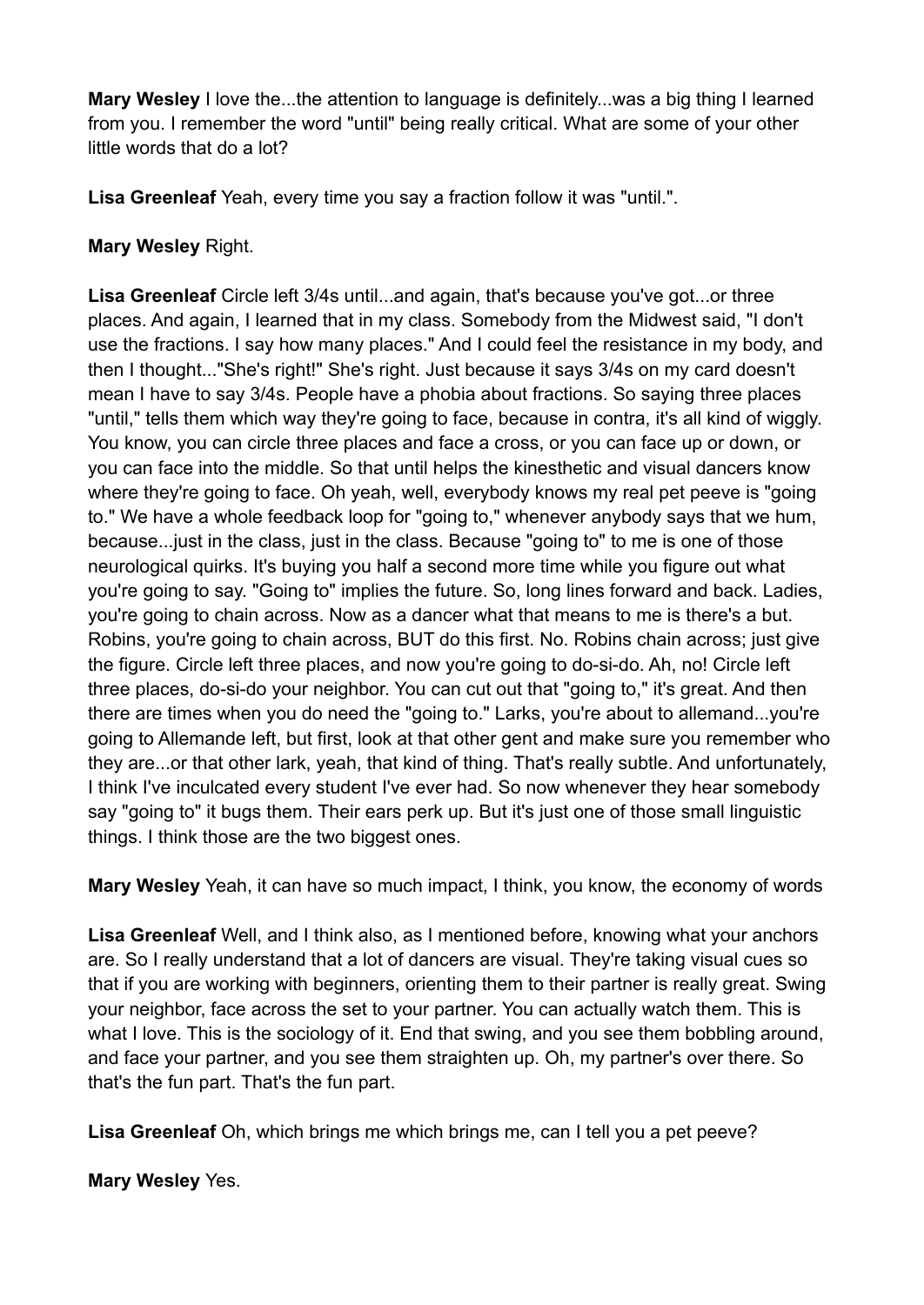**Mary Wesley** I love the...the attention to language is definitely...was a big thing I learned from you. I remember the word "until" being really critical. What are some of your other little words that do a lot?

**Lisa Greenleaf** Yeah, every time you say a fraction follow it was "until.".

### **Mary Wesley** Right.

**Lisa Greenleaf** Circle left 3/4s until...and again, that's because you've got...or three places. And again, I learned that in my class. Somebody from the Midwest said, "I don't use the fractions. I say how many places." And I could feel the resistance in my body, and then I thought..."She's right!" She's right. Just because it says 3/4s on my card doesn't mean I have to say 3/4s. People have a phobia about fractions. So saying three places "until," tells them which way they're going to face, because in contra, it's all kind of wiggly. You know, you can circle three places and face a cross, or you can face up or down, or you can face into the middle. So that until helps the kinesthetic and visual dancers know where they're going to face. Oh yeah, well, everybody knows my real pet peeve is "going to." We have a whole feedback loop for "going to," whenever anybody says that we hum, because...just in the class, just in the class. Because "going to" to me is one of those neurological quirks. It's buying you half a second more time while you figure out what you're going to say. "Going to" implies the future. So, long lines forward and back. Ladies, you're going to chain across. Now as a dancer what that means to me is there's a but. Robins, you're going to chain across, BUT do this first. No. Robins chain across; just give the figure. Circle left three places, and now you're going to do-si-do. Ah, no! Circle left three places, do-si-do your neighbor. You can cut out that "going to," it's great. And then there are times when you do need the "going to." Larks, you're about to allemand...you're going to Allemande left, but first, look at that other gent and make sure you remember who they are...or that other lark, yeah, that kind of thing. That's really subtle. And unfortunately, I think I've inculcated every student I've ever had. So now whenever they hear somebody say "going to" it bugs them. Their ears perk up. But it's just one of those small linguistic things. I think those are the two biggest ones.

**Mary Wesley** Yeah, it can have so much impact, I think, you know, the economy of words

**Lisa Greenleaf** Well, and I think also, as I mentioned before, knowing what your anchors are. So I really understand that a lot of dancers are visual. They're taking visual cues so that if you are working with beginners, orienting them to their partner is really great. Swing your neighbor, face across the set to your partner. You can actually watch them. This is what I love. This is the sociology of it. End that swing, and you see them bobbling around, and face your partner, and you see them straighten up. Oh, my partner's over there. So that's the fun part. That's the fun part.

**Lisa Greenleaf** Oh, which brings me which brings me, can I tell you a pet peeve?

**Mary Wesley** Yes.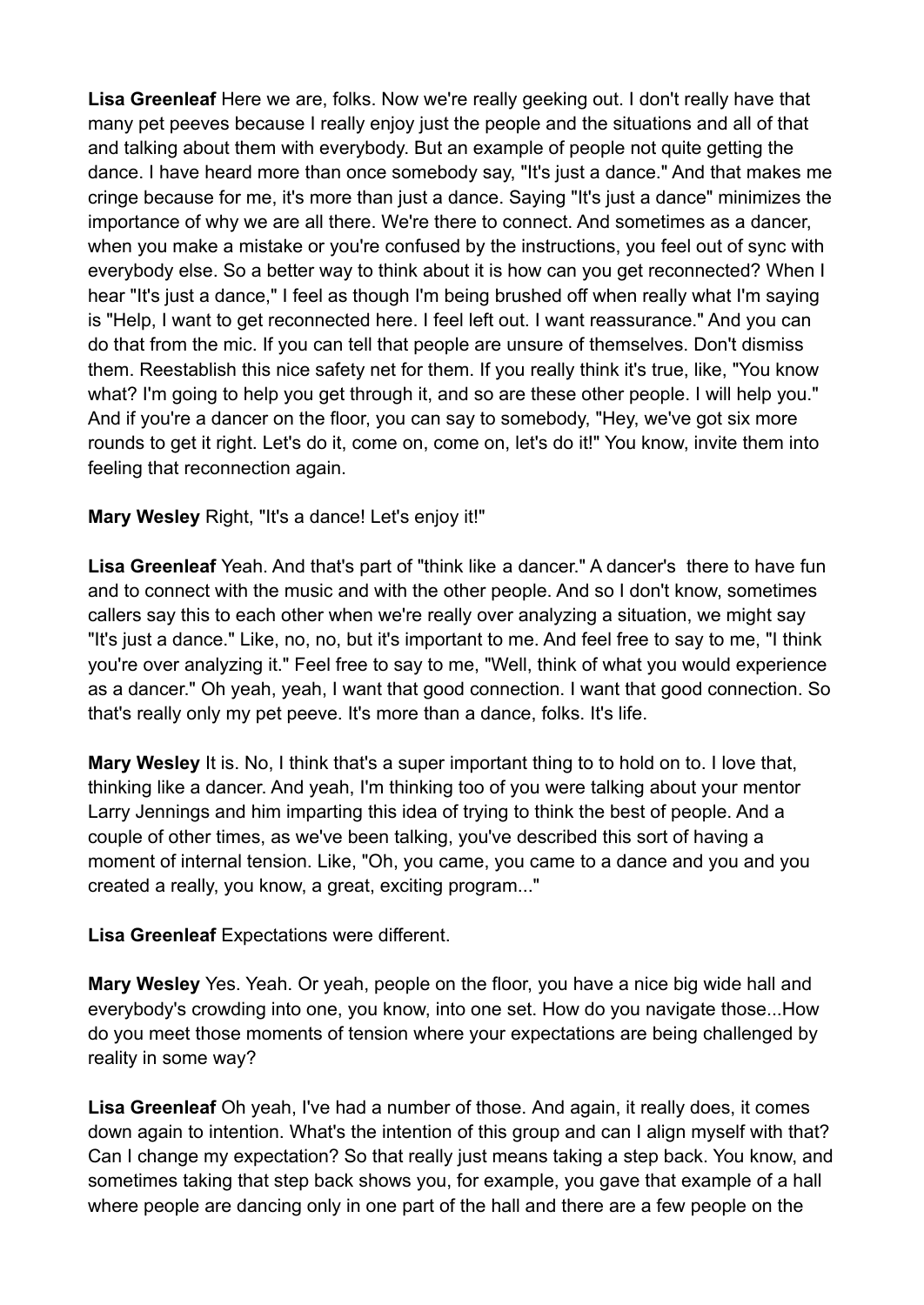**Lisa Greenleaf** Here we are, folks. Now we're really geeking out. I don't really have that many pet peeves because I really enjoy just the people and the situations and all of that and talking about them with everybody. But an example of people not quite getting the dance. I have heard more than once somebody say, "It's just a dance." And that makes me cringe because for me, it's more than just a dance. Saying "It's just a dance" minimizes the importance of why we are all there. We're there to connect. And sometimes as a dancer, when you make a mistake or you're confused by the instructions, you feel out of sync with everybody else. So a better way to think about it is how can you get reconnected? When I hear "It's just a dance," I feel as though I'm being brushed off when really what I'm saying is "Help, I want to get reconnected here. I feel left out. I want reassurance." And you can do that from the mic. If you can tell that people are unsure of themselves. Don't dismiss them. Reestablish this nice safety net for them. If you really think it's true, like, "You know what? I'm going to help you get through it, and so are these other people. I will help you." And if you're a dancer on the floor, you can say to somebody, "Hey, we've got six more rounds to get it right. Let's do it, come on, come on, let's do it!" You know, invite them into feeling that reconnection again.

#### **Mary Wesley** Right, "It's a dance! Let's enjoy it!"

Lisa Greenleaf Yeah. And that's part of "think like a dancer." A dancer's there to have fun and to connect with the music and with the other people. And so I don't know, sometimes callers say this to each other when we're really over analyzing a situation, we might say "It's just a dance." Like, no, no, but it's important to me. And feel free to say to me, "I think you're over analyzing it." Feel free to say to me, "Well, think of what you would experience as a dancer." Oh yeah, yeah, I want that good connection. I want that good connection. So that's really only my pet peeve. It's more than a dance, folks. It's life.

**Mary Wesley** It is. No, I think that's a super important thing to to hold on to. I love that, thinking like a dancer. And yeah, I'm thinking too of you were talking about your mentor Larry Jennings and him imparting this idea of trying to think the best of people. And a couple of other times, as we've been talking, you've described this sort of having a moment of internal tension. Like, "Oh, you came, you came to a dance and you and you created a really, you know, a great, exciting program..."

**Lisa Greenleaf** Expectations were different.

**Mary Wesley** Yes. Yeah. Or yeah, people on the floor, you have a nice big wide hall and everybody's crowding into one, you know, into one set. How do you navigate those...How do you meet those moments of tension where your expectations are being challenged by reality in some way?

**Lisa Greenleaf** Oh yeah, I've had a number of those. And again, it really does, it comes down again to intention. What's the intention of this group and can I align myself with that? Can I change my expectation? So that really just means taking a step back. You know, and sometimes taking that step back shows you, for example, you gave that example of a hall where people are dancing only in one part of the hall and there are a few people on the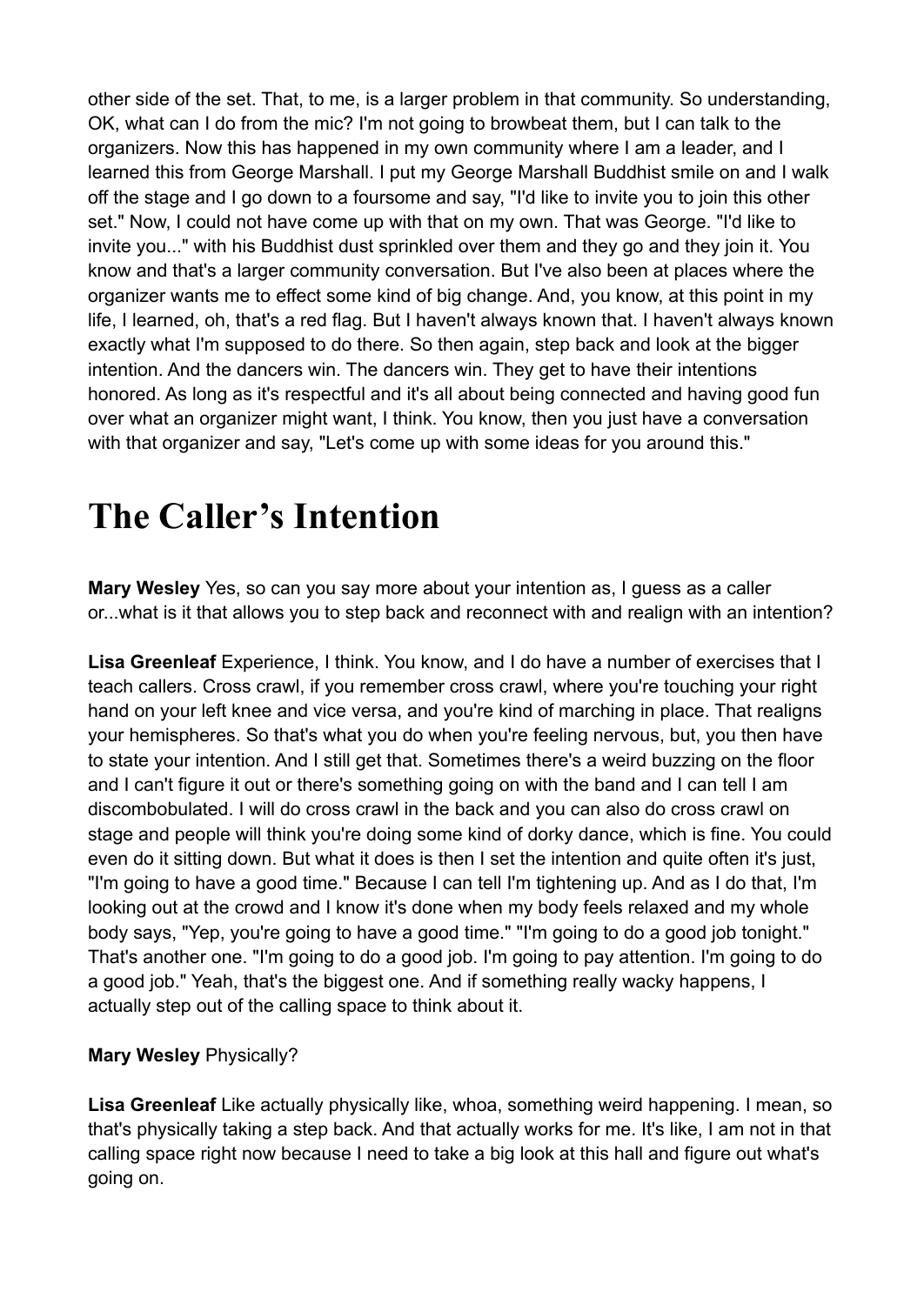other side of the set. That, to me, is a larger problem in that community. So understanding, OK, what can I do from the mic? I'm not going to browbeat them, but I can talk to the organizers. Now this has happened in my own community where I am a leader, and I learned this from George Marshall. I put my George Marshall Buddhist smile on and I walk off the stage and I go down to a foursome and say, "I'd like to invite you to join this other set." Now, I could not have come up with that on my own. That was George. "I'd like to invite you..." with his Buddhist dust sprinkled over them and they go and they join it. You know and that's a larger community conversation. But I've also been at places where the organizer wants me to effect some kind of big change. And, you know, at this point in my life, I learned, oh, that's a red flag. But I haven't always known that. I haven't always known exactly what I'm supposed to do there. So then again, step back and look at the bigger intention. And the dancers win. The dancers win. They get to have their intentions honored. As long as it's respectful and it's all about being connected and having good fun over what an organizer might want, I think. You know, then you just have a conversation with that organizer and say, "Let's come up with some ideas for you around this."

### **The Caller's Intention**

**Mary Wesley** Yes, so can you say more about your intention as, I guess as a caller or...what is it that allows you to step back and reconnect with and realign with an intention?

**Lisa Greenleaf** Experience, I think. You know, and I do have a number of exercises that I teach callers. Cross crawl, if you remember cross crawl, where you're touching your right hand on your left knee and vice versa, and you're kind of marching in place. That realigns your hemispheres. So that's what you do when you're feeling nervous, but, you then have to state your intention. And I still get that. Sometimes there's a weird buzzing on the floor and I can't figure it out or there's something going on with the band and I can tell I am discombobulated. I will do cross crawl in the back and you can also do cross crawl on stage and people will think you're doing some kind of dorky dance, which is fine. You could even do it sitting down. But what it does is then I set the intention and quite often it's just, "I'm going to have a good time." Because I can tell I'm tightening up. And as I do that, I'm looking out at the crowd and I know it's done when my body feels relaxed and my whole body says, "Yep, you're going to have a good time." "I'm going to do a good job tonight." That's another one. "I'm going to do a good job. I'm going to pay attention. I'm going to do a good job." Yeah, that's the biggest one. And if something really wacky happens, I actually step out of the calling space to think about it.

#### **Mary Wesley** Physically?

**Lisa Greenleaf** Like actually physically like, whoa, something weird happening. I mean, so that's physically taking a step back. And that actually works for me. It's like, I am not in that calling space right now because I need to take a big look at this hall and figure out what's going on.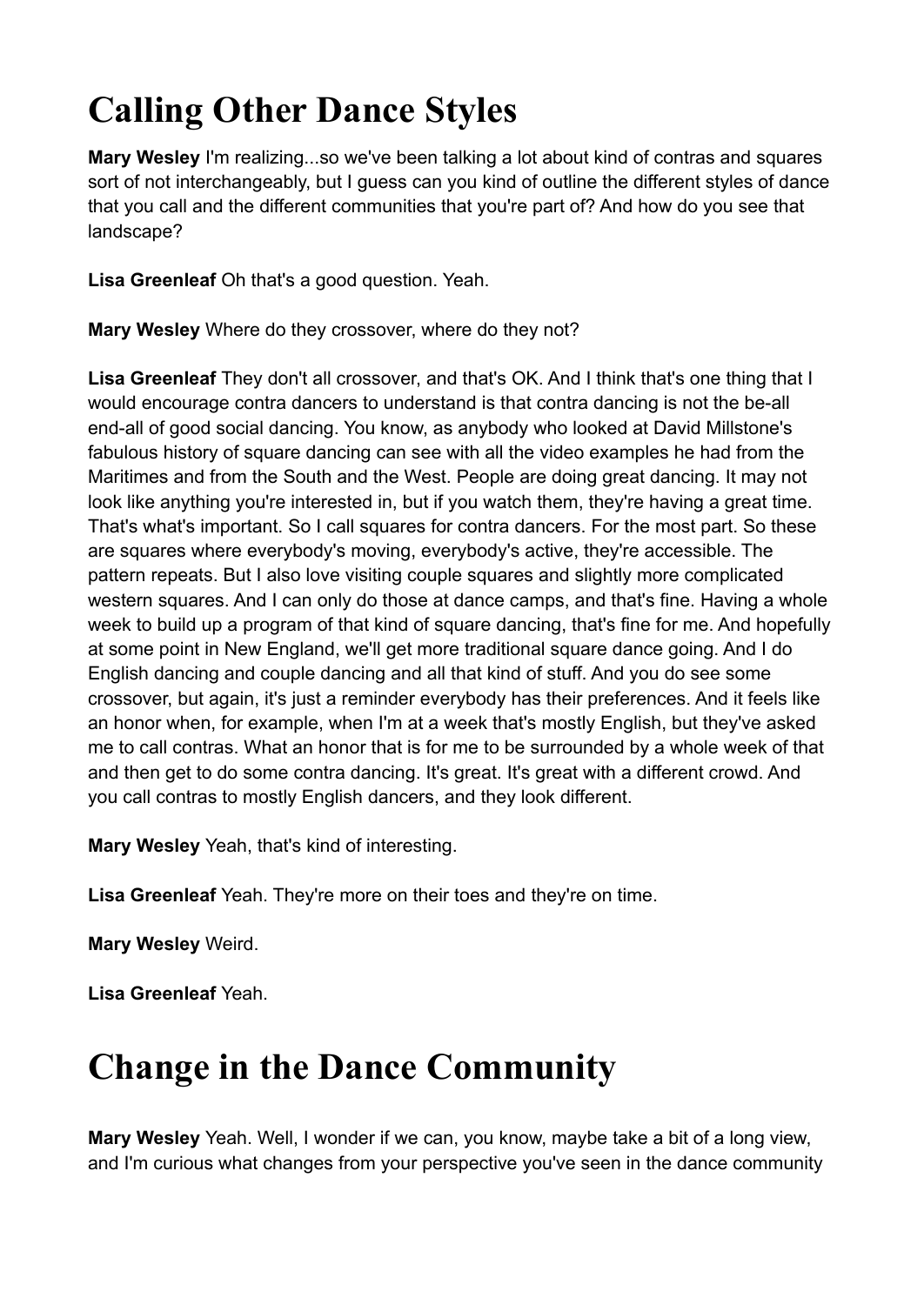# **Calling Other Dance Styles**

**Mary Wesley** I'm realizing...so we've been talking a lot about kind of contras and squares sort of not interchangeably, but I guess can you kind of outline the different styles of dance that you call and the different communities that you're part of? And how do you see that landscape?

**Lisa Greenleaf** Oh that's a good question. Yeah.

**Mary Wesley** Where do they crossover, where do they not?

**Lisa Greenleaf** They don't all crossover, and that's OK. And I think that's one thing that I would encourage contra dancers to understand is that contra dancing is not the be-all end-all of good social dancing. You know, as anybody who looked at David Millstone's fabulous history of square dancing can see with all the video examples he had from the Maritimes and from the South and the West. People are doing great dancing. It may not look like anything you're interested in, but if you watch them, they're having a great time. That's what's important. So I call squares for contra dancers. For the most part. So these are squares where everybody's moving, everybody's active, they're accessible. The pattern repeats. But I also love visiting couple squares and slightly more complicated western squares. And I can only do those at dance camps, and that's fine. Having a whole week to build up a program of that kind of square dancing, that's fine for me. And hopefully at some point in New England, we'll get more traditional square dance going. And I do English dancing and couple dancing and all that kind of stuff. And you do see some crossover, but again, it's just a reminder everybody has their preferences. And it feels like an honor when, for example, when I'm at a week that's mostly English, but they've asked me to call contras. What an honor that is for me to be surrounded by a whole week of that and then get to do some contra dancing. It's great. It's great with a different crowd. And you call contras to mostly English dancers, and they look different.

**Mary Wesley** Yeah, that's kind of interesting.

**Lisa Greenleaf** Yeah. They're more on their toes and they're on time.

**Mary Wesley** Weird.

**Lisa Greenleaf** Yeah.

### **Change in the Dance Community**

**Mary Wesley** Yeah. Well, I wonder if we can, you know, maybe take a bit of a long view, and I'm curious what changes from your perspective you've seen in the dance community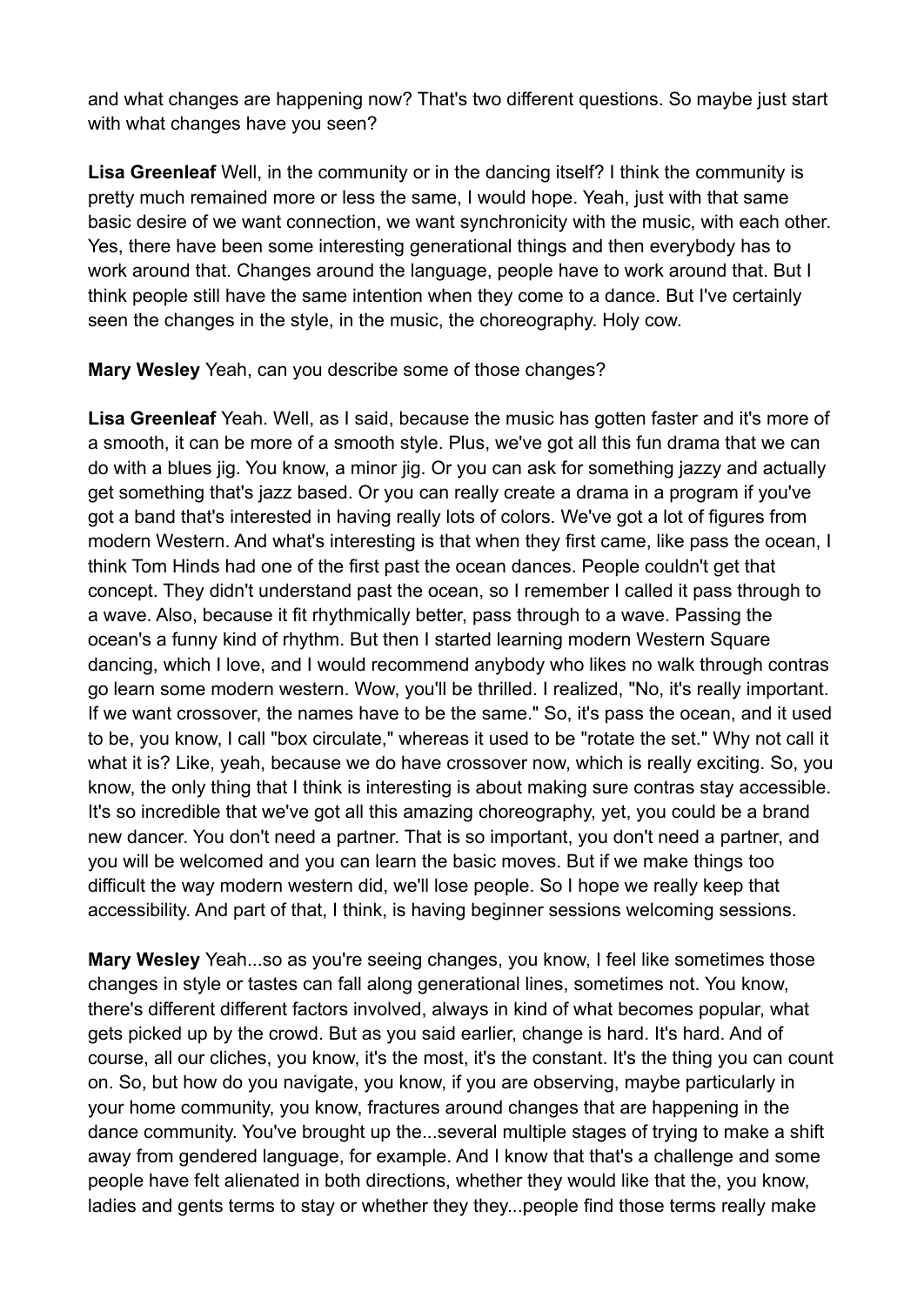and what changes are happening now? That's two different questions. So maybe just start with what changes have you seen?

**Lisa Greenleaf** Well, in the community or in the dancing itself? I think the community is pretty much remained more or less the same, I would hope. Yeah, just with that same basic desire of we want connection, we want synchronicity with the music, with each other. Yes, there have been some interesting generational things and then everybody has to work around that. Changes around the language, people have to work around that. But I think people still have the same intention when they come to a dance. But I've certainly seen the changes in the style, in the music, the choreography. Holy cow.

**Mary Wesley** Yeah, can you describe some of those changes?

**Lisa Greenleaf** Yeah. Well, as I said, because the music has gotten faster and it's more of a smooth, it can be more of a smooth style. Plus, we've got all this fun drama that we can do with a blues jig. You know, a minor jig. Or you can ask for something jazzy and actually get something that's jazz based. Or you can really create a drama in a program if you've got a band that's interested in having really lots of colors. We've got a lot of figures from modern Western. And what's interesting is that when they first came, like pass the ocean, I think Tom Hinds had one of the first past the ocean dances. People couldn't get that concept. They didn't understand past the ocean, so I remember I called it pass through to a wave. Also, because it fit rhythmically better, pass through to a wave. Passing the ocean's a funny kind of rhythm. But then I started learning modern Western Square dancing, which I love, and I would recommend anybody who likes no walk through contras go learn some modern western. Wow, you'll be thrilled. I realized, "No, it's really important. If we want crossover, the names have to be the same." So, it's pass the ocean, and it used to be, you know, I call "box circulate," whereas it used to be "rotate the set." Why not call it what it is? Like, yeah, because we do have crossover now, which is really exciting. So, you know, the only thing that I think is interesting is about making sure contras stay accessible. It's so incredible that we've got all this amazing choreography, yet, you could be a brand new dancer. You don't need a partner. That is so important, you don't need a partner, and you will be welcomed and you can learn the basic moves. But if we make things too difficult the way modern western did, we'll lose people. So I hope we really keep that accessibility. And part of that, I think, is having beginner sessions welcoming sessions.

**Mary Wesley** Yeah...so as you're seeing changes, you know, I feel like sometimes those changes in style or tastes can fall along generational lines, sometimes not. You know, there's different different factors involved, always in kind of what becomes popular, what gets picked up by the crowd. But as you said earlier, change is hard. It's hard. And of course, all our cliches, you know, it's the most, it's the constant. It's the thing you can count on. So, but how do you navigate, you know, if you are observing, maybe particularly in your home community, you know, fractures around changes that are happening in the dance community. You've brought up the...several multiple stages of trying to make a shift away from gendered language, for example. And I know that that's a challenge and some people have felt alienated in both directions, whether they would like that the, you know, ladies and gents terms to stay or whether they they...people find those terms really make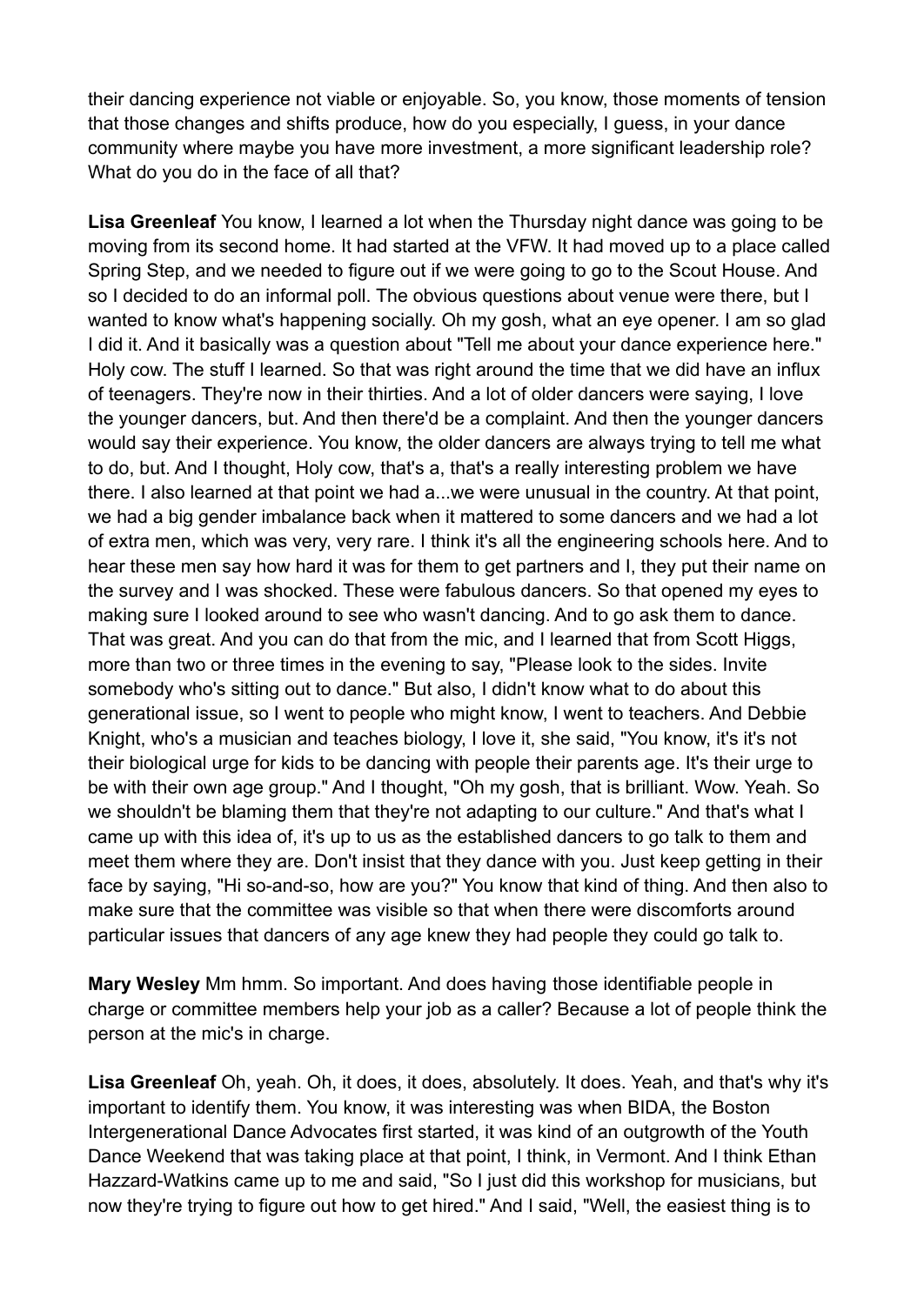their dancing experience not viable or enjoyable. So, you know, those moments of tension that those changes and shifts produce, how do you especially, I guess, in your dance community where maybe you have more investment, a more significant leadership role? What do you do in the face of all that?

**Lisa Greenleaf** You know, I learned a lot when the Thursday night dance was going to be moving from its second home. It had started at the VFW. It had moved up to a place called Spring Step, and we needed to figure out if we were going to go to the Scout House. And so I decided to do an informal poll. The obvious questions about venue were there, but I wanted to know what's happening socially. Oh my gosh, what an eye opener. I am so glad I did it. And it basically was a question about "Tell me about your dance experience here." Holy cow. The stuff I learned. So that was right around the time that we did have an influx of teenagers. They're now in their thirties. And a lot of older dancers were saying, I love the younger dancers, but. And then there'd be a complaint. And then the younger dancers would say their experience. You know, the older dancers are always trying to tell me what to do, but. And I thought, Holy cow, that's a, that's a really interesting problem we have there. I also learned at that point we had a...we were unusual in the country. At that point, we had a big gender imbalance back when it mattered to some dancers and we had a lot of extra men, which was very, very rare. I think it's all the engineering schools here. And to hear these men say how hard it was for them to get partners and I, they put their name on the survey and I was shocked. These were fabulous dancers. So that opened my eyes to making sure I looked around to see who wasn't dancing. And to go ask them to dance. That was great. And you can do that from the mic, and I learned that from Scott Higgs, more than two or three times in the evening to say, "Please look to the sides. Invite somebody who's sitting out to dance." But also, I didn't know what to do about this generational issue, so I went to people who might know, I went to teachers. And Debbie Knight, who's a musician and teaches biology, I love it, she said, "You know, it's it's not their biological urge for kids to be dancing with people their parents age. It's their urge to be with their own age group." And I thought, "Oh my gosh, that is brilliant. Wow. Yeah. So we shouldn't be blaming them that they're not adapting to our culture." And that's what I came up with this idea of, it's up to us as the established dancers to go talk to them and meet them where they are. Don't insist that they dance with you. Just keep getting in their face by saying, "Hi so-and-so, how are you?" You know that kind of thing. And then also to make sure that the committee was visible so that when there were discomforts around particular issues that dancers of any age knew they had people they could go talk to.

**Mary Wesley** Mm hmm. So important. And does having those identifiable people in charge or committee members help your job as a caller? Because a lot of people think the person at the mic's in charge.

**Lisa Greenleaf** Oh, yeah. Oh, it does, it does, absolutely. It does. Yeah, and that's why it's important to identify them. You know, it was interesting was when BIDA, the Boston Intergenerational Dance Advocates first started, it was kind of an outgrowth of the Youth Dance Weekend that was taking place at that point, I think, in Vermont. And I think Ethan Hazzard-Watkins came up to me and said, "So I just did this workshop for musicians, but now they're trying to figure out how to get hired." And I said, "Well, the easiest thing is to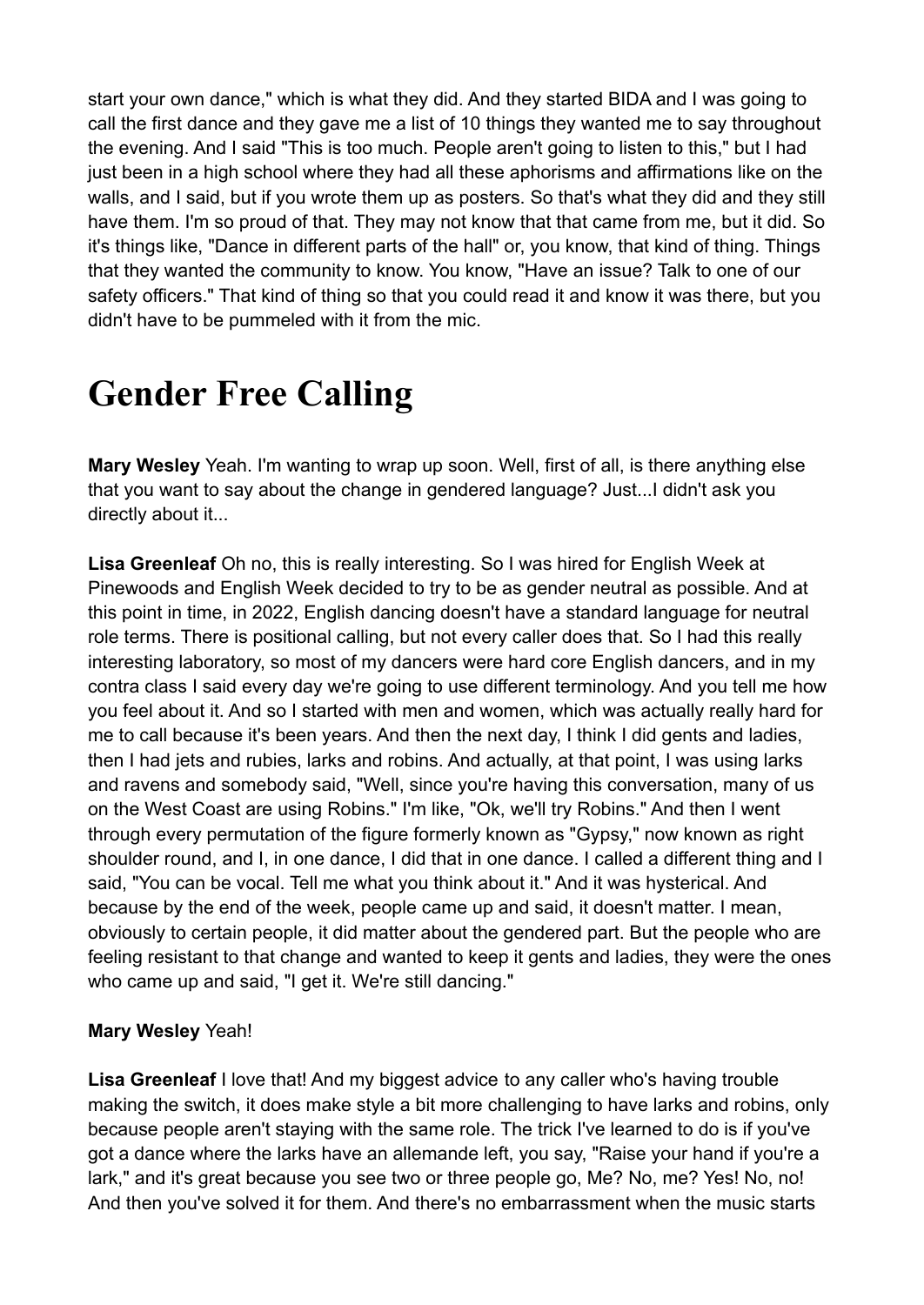start your own dance," which is what they did. And they started BIDA and I was going to call the first dance and they gave me a list of 10 things they wanted me to say throughout the evening. And I said "This is too much. People aren't going to listen to this," but I had just been in a high school where they had all these aphorisms and affirmations like on the walls, and I said, but if you wrote them up as posters. So that's what they did and they still have them. I'm so proud of that. They may not know that that came from me, but it did. So it's things like, "Dance in different parts of the hall" or, you know, that kind of thing. Things that they wanted the community to know. You know, "Have an issue? Talk to one of our safety officers." That kind of thing so that you could read it and know it was there, but you didn't have to be pummeled with it from the mic.

### **Gender Free Calling**

**Mary Wesley** Yeah. I'm wanting to wrap up soon. Well, first of all, is there anything else that you want to say about the change in gendered language? Just...I didn't ask you directly about it...

**Lisa Greenleaf** Oh no, this is really interesting. So I was hired for English Week at Pinewoods and English Week decided to try to be as gender neutral as possible. And at this point in time, in 2022, English dancing doesn't have a standard language for neutral role terms. There is positional calling, but not every caller does that. So I had this really interesting laboratory, so most of my dancers were hard core English dancers, and in my contra class I said every day we're going to use different terminology. And you tell me how you feel about it. And so I started with men and women, which was actually really hard for me to call because it's been years. And then the next day, I think I did gents and ladies, then I had jets and rubies, larks and robins. And actually, at that point, I was using larks and ravens and somebody said, "Well, since you're having this conversation, many of us on the West Coast are using Robins." I'm like, "Ok, we'll try Robins." And then I went through every permutation of the figure formerly known as "Gypsy," now known as right shoulder round, and I, in one dance, I did that in one dance. I called a different thing and I said, "You can be vocal. Tell me what you think about it." And it was hysterical. And because by the end of the week, people came up and said, it doesn't matter. I mean, obviously to certain people, it did matter about the gendered part. But the people who are feeling resistant to that change and wanted to keep it gents and ladies, they were the ones who came up and said, "I get it. We're still dancing."

### **Mary Wesley** Yeah!

**Lisa Greenleaf** I love that! And my biggest advice to any caller who's having trouble making the switch, it does make style a bit more challenging to have larks and robins, only because people aren't staying with the same role. The trick I've learned to do is if you've got a dance where the larks have an allemande left, you say, "Raise your hand if you're a lark," and it's great because you see two or three people go, Me? No, me? Yes! No, no! And then you've solved it for them. And there's no embarrassment when the music starts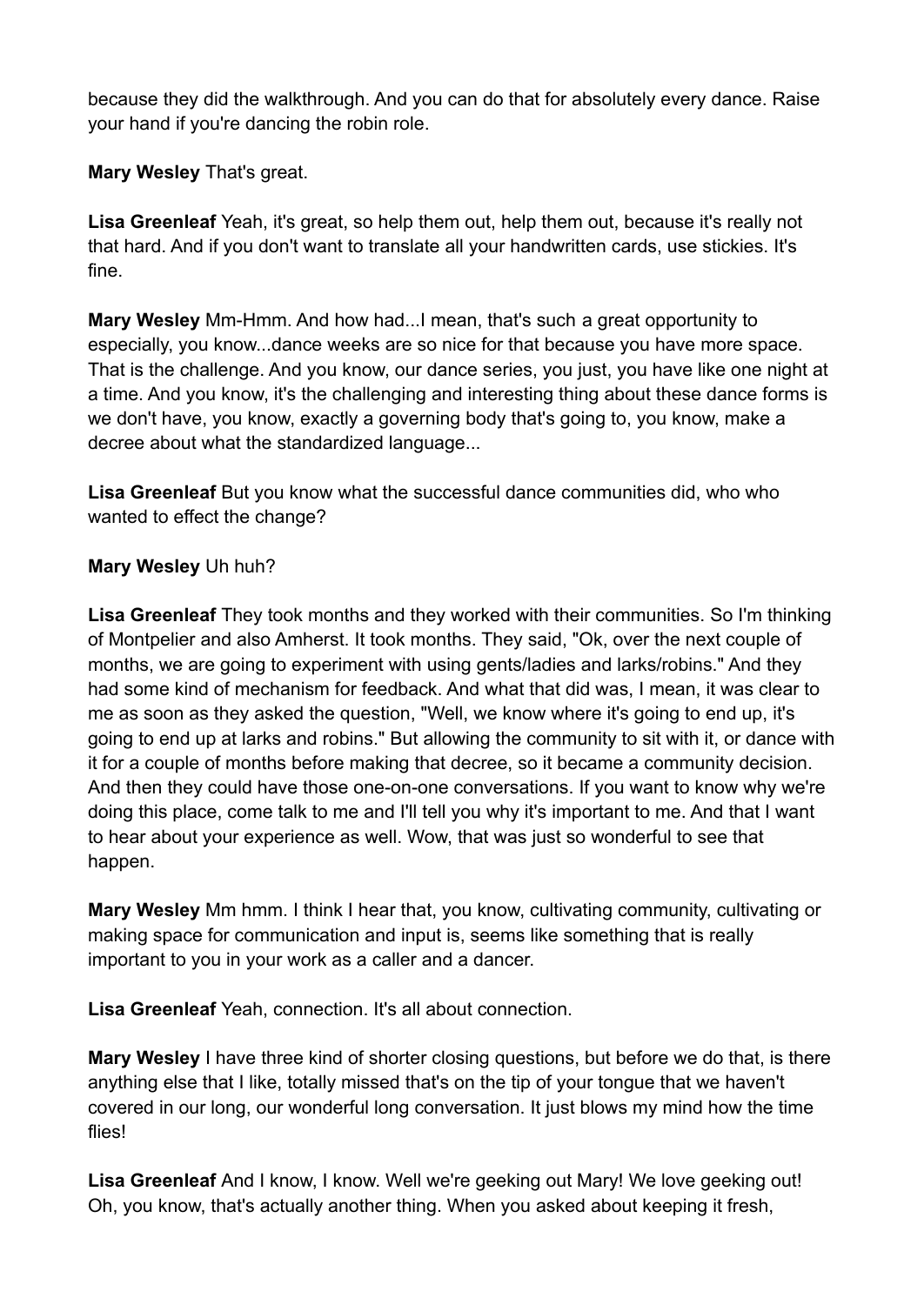because they did the walkthrough. And you can do that for absolutely every dance. Raise your hand if you're dancing the robin role.

### **Mary Wesley** That's great.

**Lisa Greenleaf** Yeah, it's great, so help them out, help them out, because it's really not that hard. And if you don't want to translate all your handwritten cards, use stickies. It's fine.

**Mary Wesley** Mm-Hmm. And how had...I mean, that's such a great opportunity to especially, you know...dance weeks are so nice for that because you have more space. That is the challenge. And you know, our dance series, you just, you have like one night at a time. And you know, it's the challenging and interesting thing about these dance forms is we don't have, you know, exactly a governing body that's going to, you know, make a decree about what the standardized language...

**Lisa Greenleaf** But you know what the successful dance communities did, who who wanted to effect the change?

### **Mary Wesley** Uh huh?

**Lisa Greenleaf** They took months and they worked with their communities. So I'm thinking of Montpelier and also Amherst. It took months. They said, "Ok, over the next couple of months, we are going to experiment with using gents/ladies and larks/robins." And they had some kind of mechanism for feedback. And what that did was, I mean, it was clear to me as soon as they asked the question, "Well, we know where it's going to end up, it's going to end up at larks and robins." But allowing the community to sit with it, or dance with it for a couple of months before making that decree, so it became a community decision. And then they could have those one-on-one conversations. If you want to know why we're doing this place, come talk to me and I'll tell you why it's important to me. And that I want to hear about your experience as well. Wow, that was just so wonderful to see that happen.

**Mary Wesley** Mm hmm. I think I hear that, you know, cultivating community, cultivating or making space for communication and input is, seems like something that is really important to you in your work as a caller and a dancer.

**Lisa Greenleaf** Yeah, connection. It's all about connection.

**Mary Wesley** I have three kind of shorter closing questions, but before we do that, is there anything else that I like, totally missed that's on the tip of your tongue that we haven't covered in our long, our wonderful long conversation. It just blows my mind how the time flies!

**Lisa Greenleaf** And I know, I know. Well we're geeking out Mary! We love geeking out! Oh, you know, that's actually another thing. When you asked about keeping it fresh,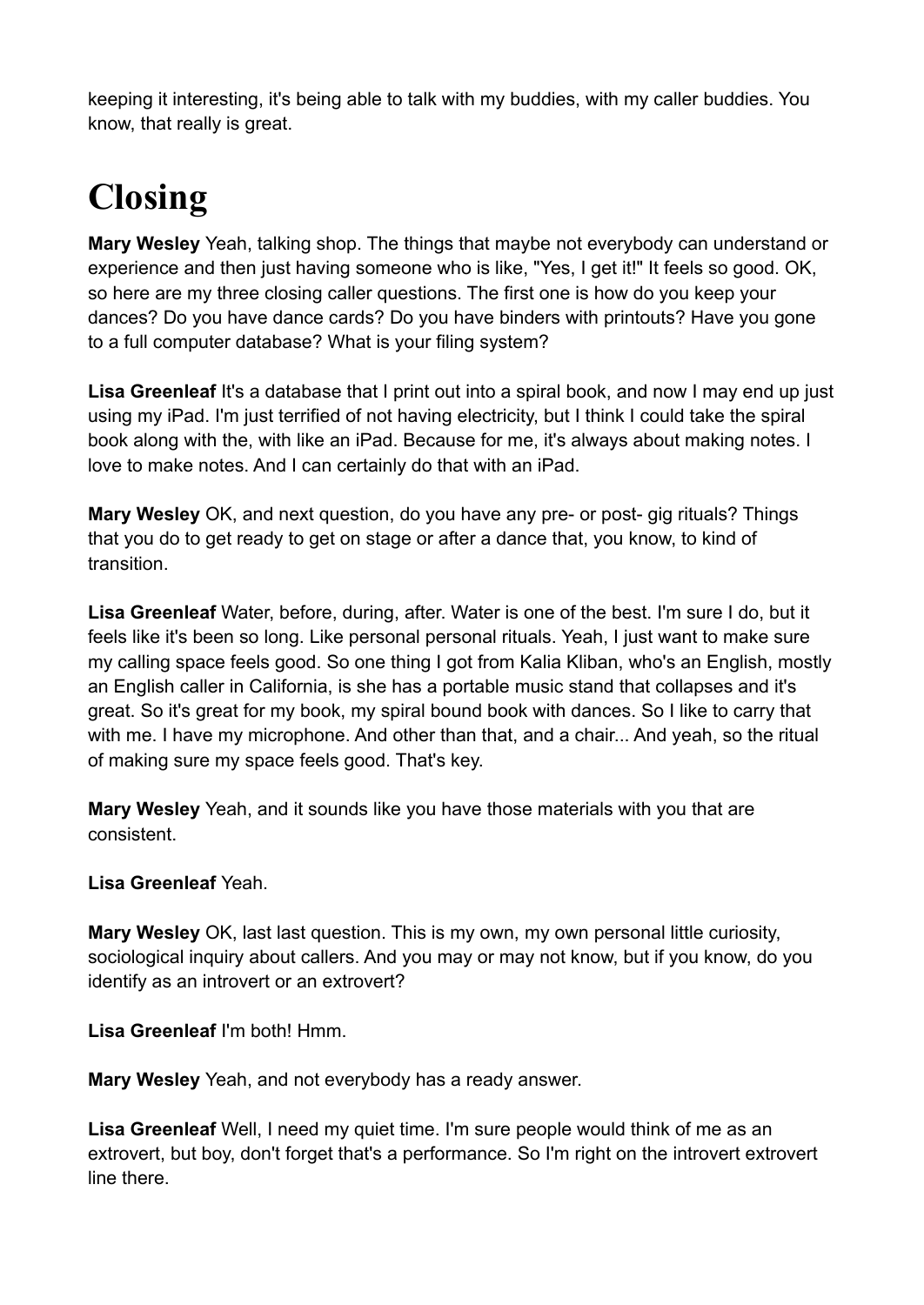keeping it interesting, it's being able to talk with my buddies, with my caller buddies. You know, that really is great.

# **Closing**

**Mary Wesley** Yeah, talking shop. The things that maybe not everybody can understand or experience and then just having someone who is like, "Yes, I get it!" It feels so good. OK, so here are my three closing caller questions. The first one is how do you keep your dances? Do you have dance cards? Do you have binders with printouts? Have you gone to a full computer database? What is your filing system?

**Lisa Greenleaf** It's a database that I print out into a spiral book, and now I may end up just using my iPad. I'm just terrified of not having electricity, but I think I could take the spiral book along with the, with like an iPad. Because for me, it's always about making notes. I love to make notes. And I can certainly do that with an iPad.

**Mary Wesley** OK, and next question, do you have any pre- or post- gig rituals? Things that you do to get ready to get on stage or after a dance that, you know, to kind of transition.

**Lisa Greenleaf** Water, before, during, after. Water is one of the best. I'm sure I do, but it feels like it's been so long. Like personal personal rituals. Yeah, I just want to make sure my calling space feels good. So one thing I got from Kalia Kliban, who's an English, mostly an English caller in California, is she has a portable music stand that collapses and it's great. So it's great for my book, my spiral bound book with dances. So I like to carry that with me. I have my microphone. And other than that, and a chair... And yeah, so the ritual of making sure my space feels good. That's key.

**Mary Wesley** Yeah, and it sounds like you have those materials with you that are consistent.

### **Lisa Greenleaf** Yeah.

**Mary Wesley** OK, last last question. This is my own, my own personal little curiosity, sociological inquiry about callers. And you may or may not know, but if you know, do you identify as an introvert or an extrovert?

**Lisa Greenleaf** I'm both! Hmm.

**Mary Wesley** Yeah, and not everybody has a ready answer.

**Lisa Greenleaf** Well, I need my quiet time. I'm sure people would think of me as an extrovert, but boy, don't forget that's a performance. So I'm right on the introvert extrovert line there.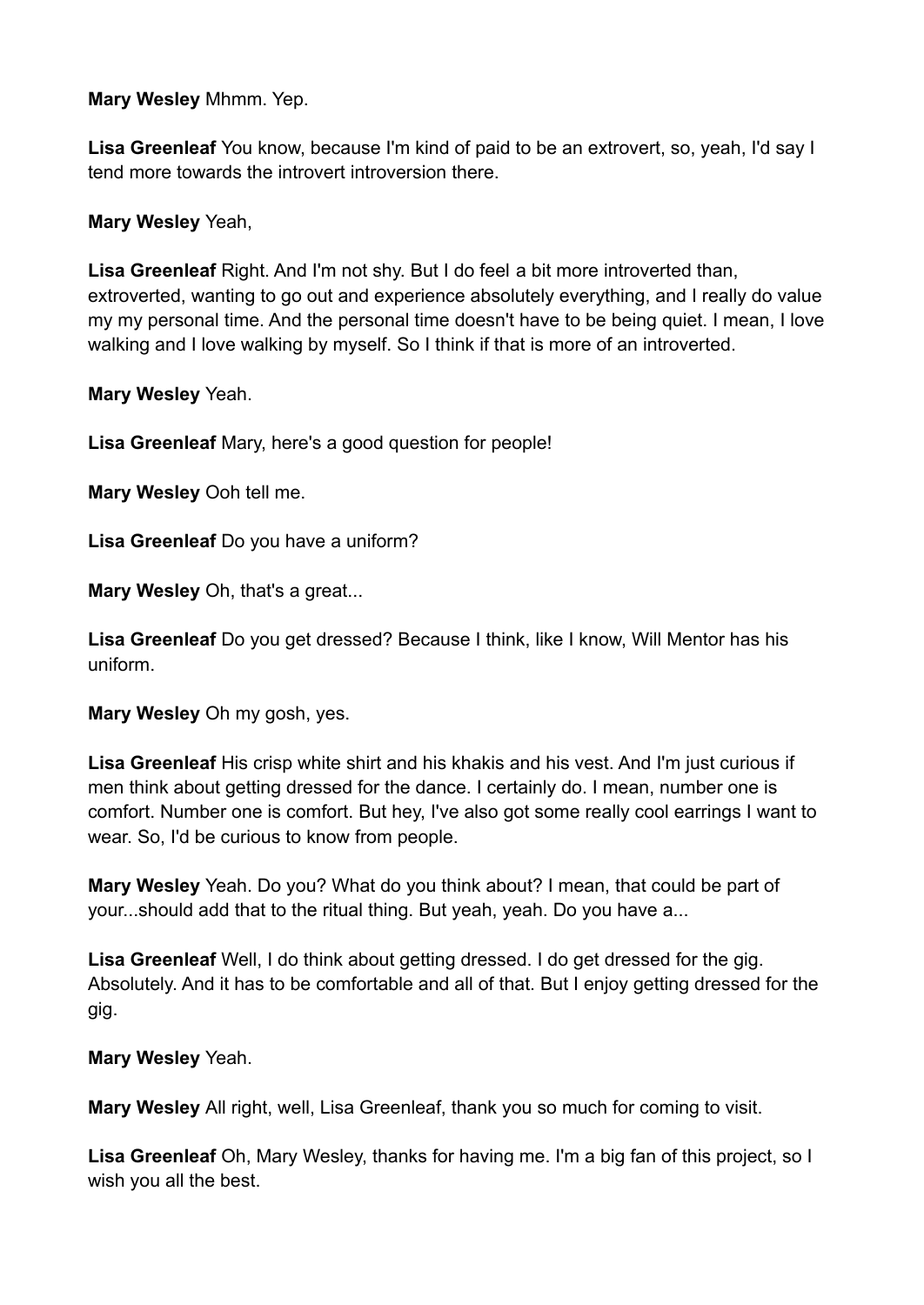**Mary Wesley** Mhmm. Yep.

**Lisa Greenleaf** You know, because I'm kind of paid to be an extrovert, so, yeah, I'd say I tend more towards the introvert introversion there.

**Mary Wesley** Yeah,

**Lisa Greenleaf** Right. And I'm not shy. But I do feel a bit more introverted than, extroverted, wanting to go out and experience absolutely everything, and I really do value my my personal time. And the personal time doesn't have to be being quiet. I mean, I love walking and I love walking by myself. So I think if that is more of an introverted.

**Mary Wesley** Yeah.

**Lisa Greenleaf** Mary, here's a good question for people!

**Mary Wesley** Ooh tell me.

**Lisa Greenleaf** Do you have a uniform?

**Mary Wesley** Oh, that's a great...

**Lisa Greenleaf** Do you get dressed? Because I think, like I know, Will Mentor has his uniform.

**Mary Wesley** Oh my gosh, yes.

**Lisa Greenleaf** His crisp white shirt and his khakis and his vest. And I'm just curious if men think about getting dressed for the dance. I certainly do. I mean, number one is comfort. Number one is comfort. But hey, I've also got some really cool earrings I want to wear. So, I'd be curious to know from people.

**Mary Wesley** Yeah. Do you? What do you think about? I mean, that could be part of your...should add that to the ritual thing. But yeah, yeah. Do you have a...

**Lisa Greenleaf** Well, I do think about getting dressed. I do get dressed for the gig. Absolutely. And it has to be comfortable and all of that. But I enjoy getting dressed for the gig.

**Mary Wesley** Yeah.

**Mary Wesley** All right, well, Lisa Greenleaf, thank you so much for coming to visit.

**Lisa Greenleaf** Oh, Mary Wesley, thanks for having me. I'm a big fan of this project, so I wish you all the best.